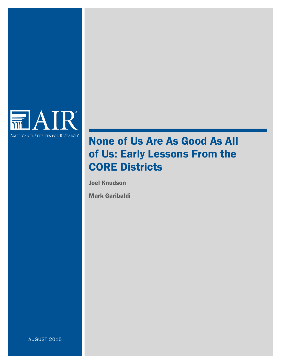

# None of Us Are As Good As All of Us: Early Lessons From the CORE Districts

Joel Knudson

Mark Garibaldi

AUGUST 2015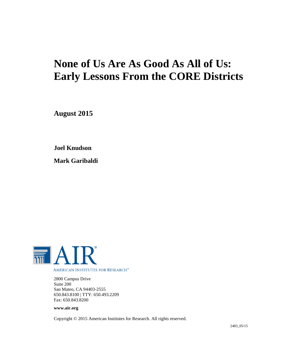# **None of Us Are As Good As All of Us: Early Lessons From the CORE Districts**

**August 2015**

**Joel Knudson**

**Mark Garibaldi**



2800 Campus Drive Suite 200 San Mateo, CA 94403-2555 650.843.8100 | TTY: 650.493.2209 Fax: 650.843.8200

#### **www.air.org**

Copyright © 2015 American Institutes for Research. All rights reserved.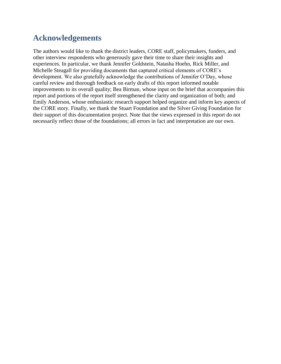## **Acknowledgements**

The authors would like to thank the district leaders, CORE staff, policymakers, funders, and other interview respondents who generously gave their time to share their insights and experiences. In particular, we thank Jennifer Goldstein, Natasha Hoehn, Rick Miller, and Michelle Steagall for providing documents that captured critical elements of CORE's development. We also gratefully acknowledge the contributions of Jennifer O'Day, whose careful review and thorough feedback on early drafts of this report informed notable improvements to its overall quality; Bea Birman, whose input on the brief that accompanies this report and portions of the report itself strengthened the clarity and organization of both; and Emily Anderson, whose enthusiastic research support helped organize and inform key aspects of the CORE story. Finally, we thank the Stuart Foundation and the Silver Giving Foundation for their support of this documentation project. Note that the views expressed in this report do not necessarily reflect those of the foundations; all errors in fact and interpretation are our own.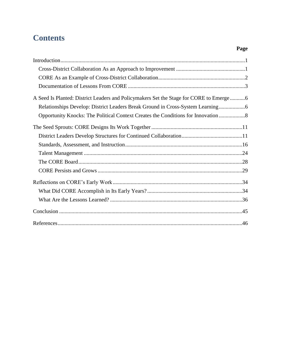## **Contents**

| A Seed Is Planted: District Leaders and Policymakers Set the Stage for CORE to Emerge6 |
|----------------------------------------------------------------------------------------|
| Relationships Develop: District Leaders Break Ground in Cross-System Learning          |
| Opportunity Knocks: The Political Context Creates the Conditions for Innovation        |
|                                                                                        |
|                                                                                        |
|                                                                                        |
|                                                                                        |
|                                                                                        |
|                                                                                        |
|                                                                                        |
|                                                                                        |
|                                                                                        |
|                                                                                        |
|                                                                                        |

## **Page**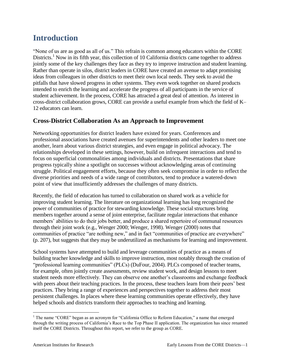## <span id="page-5-0"></span>**Introduction**

"None of us are as good as all of us." This refrain is common among educators within the CORE Districts.<sup>1</sup> Now in its fifth year, this collection of 10 California districts came together to address jointly some of the key challenges they face as they try to improve instruction and student learning. Rather than operate in silos, district leaders in CORE have created an avenue to adapt promising ideas from colleagues in other districts to meet their own local needs. They seek to avoid the pitfalls that have slowed progress in other systems. They even work together on shared products intended to enrich the learning and accelerate the progress of all participants in the service of student achievement. In the process, CORE has attracted a great deal of attention. As interest in cross-district collaboration grows, CORE can provide a useful example from which the field of K– 12 educators can learn.

## <span id="page-5-1"></span>**Cross-District Collaboration As an Approach to Improvement**

Networking opportunities for district leaders have existed for years. Conferences and professional associations have created avenues for superintendents and other leaders to meet one another, learn about various district strategies, and even engage in political advocacy. The relationships developed in these settings, however, build on infrequent interactions and tend to focus on superficial commonalities among individuals and districts. Presentations that share progress typically shine a spotlight on successes without acknowledging areas of continuing struggle. Political engagement efforts, because they often seek compromise in order to reflect the diverse priorities and needs of a wide range of contributors, tend to produce a watered-down point of view that insufficiently addresses the challenges of many districts.

Recently, the field of education has turned to collaboration on shared work as a vehicle for improving student learning. The literature on organizational learning has long recognized the power of communities of practice for stewarding knowledge. These social structures bring members together around a sense of joint enterprise, facilitate regular interactions that enhance members' abilities to do their jobs better, and produce a shared repertoire of communal resources through their joint work (e.g., Wenger 2000; Wenger, 1998). Wenger (2000) notes that communities of practice "are nothing new," and in fact "communities of practice are everywhere" (p. 207), but suggests that they may be underutilized as mechanisms for learning and improvement.

School systems have attempted to build and leverage communities of practice as a means of building teacher knowledge and skills to improve instruction, most notably through the creation of "professional learning communities" (PLCs) (DuFour, 2004). PLCs composed of teacher teams, for example, often jointly create assessments, review student work, and design lessons to meet student needs more effectively. They can observe one another's classrooms and exchange feedback with peers about their teaching practices. In the process, these teachers learn from their peers' best practices. They bring a range of experiences and perspectives together to address their most persistent challenges. In places where these learning communities operate effectively, they have helped schools and districts transform their approaches to teaching and learning.

 $\overline{a}$ <sup>1</sup> The name "CORE" began as an acronym for "California Office to Reform Education," a name that emerged through the writing process of California's Race to the Top Phase II application. The organization has since renamed itself the CORE Districts. Throughout this report, we refer to the group as CORE.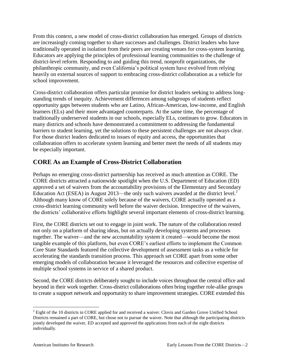From this context, a new model of cross-district collaboration has emerged. Groups of districts are increasingly coming together to share successes and challenges. District leaders who have traditionally operated in isolation from their peers are creating venues for cross-system learning. Educators are applying the principles of professional learning communities to the challenge of district-level reform. Responding to and guiding this trend, nonprofit organizations, the philanthropic community, and even California's political system have evolved from relying heavily on external sources of support to embracing cross-district collaboration as a vehicle for school improvement.

Cross-district collaboration offers particular promise for district leaders seeking to address longstanding trends of inequity. Achievement differences among subgroups of students reflect opportunity gaps between students who are Latino, African-American, low-income, and English learners (ELs) and their more advantaged counterparts. At the same time, the percentage of traditionally underserved students in our schools, especially ELs, continues to grow. Educators in many districts and schools have demonstrated a commitment to addressing the fundamental barriers to student learning, yet the solutions to these persistent challenges are not always clear. For those district leaders dedicated to issues of equity and access, the opportunities that collaboration offers to accelerate system learning and better meet the needs of all students may be especially important.

## <span id="page-6-0"></span>**CORE As an Example of Cross-District Collaboration**

Perhaps no emerging cross-district partnership has received as much attention as CORE. The CORE districts attracted a nationwide spotlight when the U.S. Department of Education (ED) approved a set of waivers from the accountability provisions of the Elementary and Secondary Education Act (ESEA) in August 2013—the only such waivers awarded at the district level.<sup>2</sup> Although many know of CORE solely because of the waivers, CORE actually operated as a cross-district learning community well before the waiver decision. Irrespective of the waivers, the districts' collaborative efforts highlight several important elements of cross-district learning.

First, the CORE districts set out to engage in joint work. The nature of the collaboration rested not only on a platform of sharing ideas, but on actually developing systems and processes together. The waiver—and the new accountability system it created—would become the most tangible example of this platform, but even CORE's earliest efforts to implement the Common Core State Standards featured the collective development of assessment tasks as a vehicle for accelerating the standards transition process. This approach set CORE apart from some other emerging models of collaboration because it leveraged the resources and collective expertise of multiple school systems in service of a shared product.

Second, the CORE districts deliberately sought to include voices throughout the central office and beyond in their work together. Cross-district collaborations often bring together role-alike groups to create a support network and opportunity to share improvement strategies. CORE extended this

 $\overline{a}$ 

<sup>&</sup>lt;sup>2</sup> Eight of the 10 districts in CORE applied for and received a waiver. Clovis and Garden Grove Unified School Districts remained a part of CORE, but chose not to pursue the waiver. Note that although the participating districts jointly developed the waiver, ED accepted and approved the applications from each of the eight districts individually.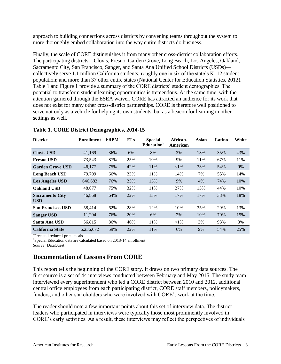approach to building connections across districts by convening teams throughout the system to more thoroughly embed collaboration into the way entire districts do business.

Finally, the scale of CORE distinguishes it from many other cross-district collaboration efforts. The participating districts—Clovis, Fresno, Garden Grove, Long Beach, Los Angeles, Oakland, Sacramento City, San Francisco, Sanger, and Santa Ana Unified School Districts (USDs) collectively serve 1.1 million California students; roughly one in six of the state's K–12 student population; and more than 37 other entire states (National Center for Education Statistics, 2012). Table 1 and Figure 1 provide a summary of the CORE districts' student demographics. The potential to transform student learning opportunities is tremendous. At the same time, with the attention garnered through the ESEA waiver, CORE has attracted an audience for its work that does not exist for many other cross-district partnerships. CORE is therefore well positioned to serve not only as a vehicle for helping its own students, but as a beacon for learning in other settings as well.

| <b>District</b>                      | <b>Enrollment</b> | $\mathbf{FRPM}^{\rm a}$ | <b>ELs</b> | <b>Special</b><br>Education $\overline{b}$ | African-<br>American | Asian | Latino | White |
|--------------------------------------|-------------------|-------------------------|------------|--------------------------------------------|----------------------|-------|--------|-------|
| <b>Clovis USD</b>                    | 41,169            | 36%                     | 6%         | 8%                                         | 3%                   | 13%   | 35%    | 43%   |
| <b>Fresno USD</b>                    | 73,543            | 87%                     | 25%        | 10%                                        | 9%                   | 11%   | 67%    | 11%   |
| <b>Garden Grove USD</b>              | 46,177            | 75%                     | 42%        | 11%                                        | ${<}1\%$             | 33%   | 54%    | 9%    |
| <b>Long Beach USD</b>                | 79,709            | 66%                     | 23%        | 11%                                        | 14%                  | 7%    | 55%    | 14%   |
| <b>Los Angeles USD</b>               | 646,683           | 76%                     | 25%        | 13%                                        | 9%                   | 4%    | 74%    | 10%   |
| <b>Oakland USD</b>                   | 48,077            | 75%                     | 32%        | 11%                                        | 27%                  | 13%   | 44%    | 10%   |
| <b>Sacramento City</b><br><b>USD</b> | 46,868            | 64%                     | 22%        | 13%                                        | 17%                  | 17%   | 38%    | 18%   |
| <b>San Francisco USD</b>             | 58.414            | 62%                     | 28%        | 12%                                        | 10%                  | 35%   | 29%    | 13%   |
| <b>Sanger USD</b>                    | 11,204            | 76%                     | 20%        | 6%                                         | 2%                   | 10%   | 70%    | 15%   |
| Santa Ana USD                        | 56,815            | 86%                     | 46%        | 11%                                        | ${<}1\%$             | 3%    | 93%    | 3%    |
| <b>California State</b>              | 6,236,672         | 59%                     | 22%        | 11%                                        | 6%                   | 9%    | 54%    | 25%   |

#### **Table 1. CORE District Demographics, 2014-15**

<sup>a</sup> Free and reduced-price meals

b Special Education data are calculated based on 2013-14 enrollment

<span id="page-7-0"></span>*Source:* DataQuest

## **Documentation of Lessons From CORE**

This report tells the beginning of the CORE story. It draws on two primary data sources. The first source is a set of 44 interviews conducted between February and May 2015. The study team interviewed every superintendent who led a CORE district between 2010 and 2012, additional central office employees from each participating district, CORE staff members, policymakers, funders, and other stakeholders who were involved with CORE's work at the time.

The reader should note a few important points about this set of interview data. The district leaders who participated in interviews were typically those most prominently involved in CORE's early activities. As a result, these interviews may reflect the perspectives of individuals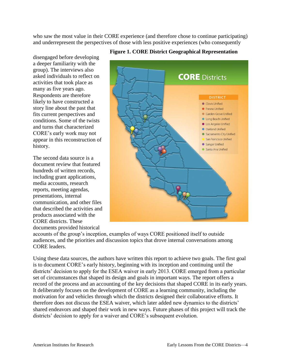who saw the most value in their CORE experience (and therefore chose to continue participating) and underrepresent the perspectives of those with less positive experiences (who consequently

disengaged before developing a deeper familiarity with the group). The interviews also asked individuals to reflect on activities that took place as many as five years ago. Respondents are therefore likely to have constructed a story line about the past that fits current perspectives and conditions. Some of the twists and turns that characterized CORE's early work may not appear in this reconstruction of history.

The second data source is a document review that featured hundreds of written records, including grant applications, media accounts, research reports, meeting agendas, presentations, internal communication, and other files that described the activities and products associated with the CORE districts. These documents provided historical



#### **Figure 1. CORE District Geographical Representation**

accounts of the group's inception, examples of ways CORE positioned itself to outside audiences, and the priorities and discussion topics that drove internal conversations among CORE leaders.

Using these data sources, the authors have written this report to achieve two goals. The first goal is to document CORE's early history, beginning with its inception and continuing until the districts' decision to apply for the ESEA waiver in early 2013. CORE emerged from a particular set of circumstances that shaped its design and goals in important ways. The report offers a record of the process and an accounting of the key decisions that shaped CORE in its early years. It deliberately focuses on the development of CORE as a learning community, including the motivation for and vehicles through which the districts designed their collaborative efforts. It therefore does not discuss the ESEA waiver, which later added new dynamics to the districts' shared endeavors and shaped their work in new ways. Future phases of this project will track the districts' decision to apply for a waiver and CORE's subsequent evolution.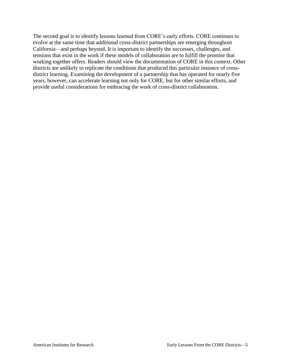The second goal is to identify lessons learned from CORE's early efforts. CORE continues to evolve at the same time that additional cross-district partnerships are emerging throughout California—and perhaps beyond. It is important to identify the successes, challenges, and tensions that exist in the work if these models of collaboration are to fulfill the promise that working together offers. Readers should view the documentation of CORE in this context. Other districts are unlikely to replicate the conditions that produced this particular instance of crossdistrict learning. Examining the development of a partnership that has operated for nearly five years, however, can accelerate learning not only for CORE, but for other similar efforts, and provide useful considerations for embracing the work of cross-district collaboration.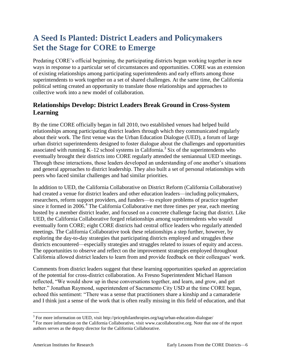## <span id="page-10-0"></span>**A Seed Is Planted: District Leaders and Policymakers Set the Stage for CORE to Emerge**

Predating CORE's official beginning, the participating districts began working together in new ways in response to a particular set of circumstances and opportunities. CORE was an extension of existing relationships among participating superintendents and early efforts among those superintendents to work together on a set of shared challenges. At the same time, the California political setting created an opportunity to translate those relationships and approaches to collective work into a new model of collaboration.

## <span id="page-10-1"></span>**Relationships Develop: District Leaders Break Ground in Cross-System Learning**

By the time CORE officially began in fall 2010, two established venues had helped build relationships among participating district leaders through which they communicated regularly about their work. The first venue was the Urban Education Dialogue (UED), a forum of large urban district superintendents designed to foster dialogue about the challenges and opportunities associated with running  $K-12$  school systems in California.<sup>3</sup> Six of the superintendents who eventually brought their districts into CORE regularly attended the semiannual UED meetings. Through these interactions, those leaders developed an understanding of one another's situations and general approaches to district leadership. They also built a set of personal relationships with peers who faced similar challenges and had similar priorities.

In addition to UED, the California Collaborative on District Reform (California Collaborative) had created a venue for district leaders and other education leaders—including policymakers, researchers, reform support providers, and funders—to explore problems of practice together since it formed in 2006.<sup>4</sup> The California Collaborative met three times per year, each meeting hosted by a member district leader, and focused on a concrete challenge facing that district. Like UED, the California Collaborative forged relationships among superintendents who would eventually form CORE; eight CORE districts had central office leaders who regularly attended meetings. The California Collaborative took these relationships a step further, however, by exploring the day-to-day strategies that participating districts employed and struggles these districts encountered—especially strategies and struggles related to issues of equity and access. The opportunities to observe and reflect on the improvement strategies employed throughout California allowed district leaders to learn from and provide feedback on their colleagues' work.

Comments from district leaders suggest that these learning opportunities sparked an appreciation of the potential for cross-district collaboration. As Fresno Superintendent Michael Hanson reflected, "We would show up in these conversations together, and learn, and grow, and get better." Jonathan Raymond, superintendent of Sacramento City USD at the time CORE began, echoed this sentiment: "There was a sense that practitioners share a kinship and a camaraderie and I think just a sense of the work that is often really missing in this field of education, and that

 $\overline{a}$ 

<sup>&</sup>lt;sup>3</sup> For more information on UED, visit http://pricephilanthropies.org/tag/urban-education-dialogue/

<sup>&</sup>lt;sup>4</sup> For more information on the California Collaborative, visit www.cacollaborative.org. Note that one of the report authors serves as the deputy director for the California Collaborative.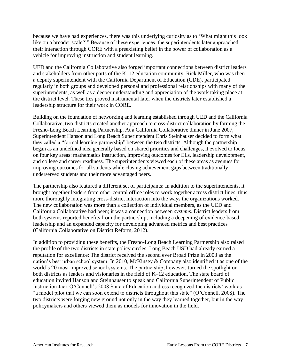because we have had experiences, there was this underlying curiosity as to 'What might this look like on a broader scale?" Because of these experiences, the superintendents later approached their interaction through CORE with a preexisting belief in the power of collaboration as a vehicle for improving instruction and student learning.

UED and the California Collaborative also forged important connections between district leaders and stakeholders from other parts of the K–12 education community. Rick Miller, who was then a deputy superintendent with the California Department of Education (CDE), participated regularly in both groups and developed personal and professional relationships with many of the superintendents, as well as a deeper understanding and appreciation of the work taking place at the district level. These ties proved instrumental later when the districts later established a leadership structure for their work in CORE.

Building on the foundation of networking and learning established through UED and the California Collaborative, two districts created another approach to cross-district collaboration by forming the Fresno-Long Beach Learning Partnership. At a California Collaborative dinner in June 2007, Superintendent Hanson and Long Beach Superintendent Chris Steinhauser decided to form what they called a "formal learning partnership" between the two districts. Although the partnership began as an undefined idea generally based on shared priorities and challenges, it evolved to focus on four key areas: mathematics instruction, improving outcomes for ELs, leadership development, and college and career readiness. The superintendents viewed each of these areas as avenues for improving outcomes for all students while closing achievement gaps between traditionally underserved students and their more advantaged peers.

The partnership also featured a different set of participants: In addition to the superintendents, it brought together leaders from other central office roles to work together across district lines, thus more thoroughly integrating cross-district interaction into the ways the organizations worked. The new collaboration was more than a collection of individual members, as the UED and California Collaborative had been; it was a connection between *systems.* District leaders from both systems reported benefits from the partnership, including a deepening of evidence-based leadership and an expanded capacity for developing advanced metrics and best practices (California Collaborative on District Reform, 2012).

In addition to providing these benefits, the Fresno-Long Beach Learning Partnership also raised the profile of the two districts in state policy circles. Long Beach USD had already earned a reputation for excellence: The district received the second ever Broad Prize in 2003 as the nation's best urban school system. In 2010, McKinsey & Company also identified it as one of the world's 20 most improved school systems. The partnership, however, turned the spotlight on both districts as leaders and visionaries in the field of K–12 education. The state board of education invited Hanson and Steinhauser to speak and California Superintendent of Public Instruction Jack O'Connell's 2008 State of Education address recognized the districts' work as "a model pilot that we can soon extend to districts throughout this state" (O'Connell, 2008). The two districts were forging new ground not only in the way they learned together, but in the way policymakers and others viewed them as models for innovation in the field.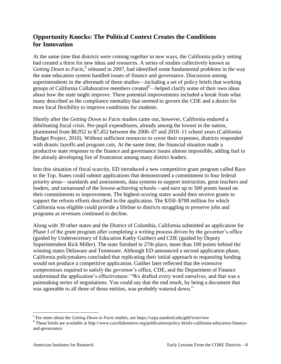## <span id="page-12-0"></span>**Opportunity Knocks: The Political Context Creates the Conditions for Innovation**

At the same time that districts were coming together in new ways, the California policy setting had created a thirst for new ideas and resources. A series of studies collectively known as Getting Down to Facts,<sup>5</sup> released in 2007, had identified some fundamental problems in the way the state education system handled issues of finance and governance. Discussion among superintendents in the aftermath of these studies—including a set of policy briefs that working groups of California Collaborative members created  $\epsilon$ —helped clarify some of their own ideas about how the state might improve. These potential improvements included a break from what many described as the compliance mentality that seemed to govern the CDE and a desire for more local flexibility to improve conditions for students.

Shortly after the *Getting Down to Facts* studies came out, however, California endured a debilitating fiscal crisis. Per-pupil expenditures, already among the lowest in the nation, plummeted from \$8,952 to \$7,452 between the 2006–07 and 2010–11 school years (California Budget Project, 2010). Without sufficient resources to cover their expenses, districts responded with drastic layoffs and program cuts. At the same time, the financial situation made a productive state response to the finance and governance issues almost impossible, adding fuel to the already developing fire of frustration among many district leaders.

Into this situation of fiscal scarcity, ED introduced a new competitive grant program called Race to the Top. States could submit applications that demonstrated a commitment to four federal priority areas—standards and assessments, data systems to support instruction, great teachers and leaders, and turnaround of the lowest-achieving schools—and earn up to 500 points based on their commitments to improvement. The highest-scoring states would then receive grants to support the reform efforts described in the application. The \$350–\$700 million for which California was eligible could provide a lifeline to districts struggling to preserve jobs and programs as revenues continued to decline.

Along with 39 other states and the District of Columbia, California submitted an application for Phase I of the grant program after completing a writing process driven by the governor's office (guided by Undersecretary of Education Kathy Gaither) and CDE (guided by Deputy Superintendent Rick Miller). The state finished in 27th place, more than 100 points behind the winning states Delaware and Tennessee. Although ED announced a second application phase, California policymakers concluded that replicating their initial approach to requesting funding would not produce a competitive application. Gaither later reflected that the extensive compromises required to satisfy the governor's office, CDE, and the Department of Finance undermined the application's effectiveness: "We drafted every word ourselves, and that was a painstaking series of negotiations. You could say that the end result, by being a document that was agreeable to all three of those entities, was probably watered down."

 $\overline{a}$ 

<sup>&</sup>lt;sup>5</sup> For more about the *Getting Down to Facts* studies, see https://cepa.stanford.edu/gdtf/overview

<sup>&</sup>lt;sup>6</sup> These briefs are available at http://www.cacollaborative.org/publication/policy-briefs-california-education-financeand-governance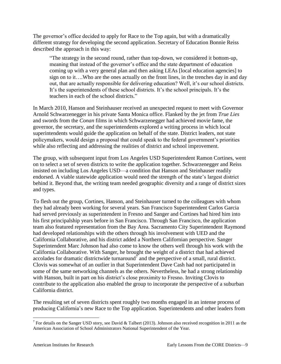The governor's office decided to apply for Race to the Top again, but with a dramatically different strategy for developing the second application. Secretary of Education Bonnie Reiss described the approach in this way:

"The strategy in the second round, rather than top-down, we considered it bottom-up, meaning that instead of the governor's office and the state department of education coming up with a very general plan and then asking LEAs [local education agencies] to sign on to it….Who are the ones actually on the front lines, in the trenches day in and day out, that are actually responsible for delivering education? Well, it's our school districts. It's the superintendents of these school districts. It's the school principals. It's the teachers in each of the school districts."

In March 2010, Hanson and Steinhauser received an unexpected request to meet with Governor Arnold Schwarzenegger in his private Santa Monica office. Flanked by the jet from *True Lies*  and swords from the *Conan* films in which Schwarzenegger had achieved movie fame, the governor, the secretary, and the superintendents explored a writing process in which local superintendents would guide the application on behalf of the state. District leaders, not state policymakers, would design a proposal that could speak to the federal government's priorities while also reflecting and addressing the realities of district and school improvement.

The group, with subsequent input from Los Angeles USD Superintendent Ramon Cortines, went on to select a set of seven districts to write the application together. Schwarzenegger and Reiss insisted on including Los Angeles USD—a condition that Hanson and Steinhauser readily endorsed. A viable statewide application would need the strength of the state's largest district behind it. Beyond that, the writing team needed geographic diversity and a range of district sizes and types.

To flesh out the group, Cortines, Hanson, and Steinhauser turned to the colleagues with whom they had already been working for several years. San Francisco Superintendent Carlos Garcia had served previously as superintendent in Fresno and Sanger and Cortines had hired him into his first principalship years before in San Francisco. Through San Francisco, the application team also featured representation from the Bay Area. Sacramento City Superintendent Raymond had developed relationships with the others through his involvement with UED and the California Collaborative, and his district added a Northern Californian perspective. Sanger Superintendent Marc Johnson had also come to know the others well through his work with the California Collaborative. With Sanger, he brought the weight of a district that had achieved accolades for dramatic districtwide turnaround  $\bar{7}$  and the perspective of a small, rural district. Clovis was somewhat of an outlier in that Superintendent Dave Cash had not participated in some of the same networking channels as the others. Nevertheless, he had a strong relationship with Hanson, built in part on his district's close proximity to Fresno. Inviting Clovis to contribute to the application also enabled the group to incorporate the perspective of a suburban California district.

The resulting set of seven districts spent roughly two months engaged in an intense process of producing California's new Race to the Top application. Superintendents and other leaders from

 $\overline{a}$ 

<sup>&</sup>lt;sup>7</sup> For details on the Sanger USD story, see David & Talbert (2013). Johnson also received recognition in 2011 as the American Association of School Administrators National Superintendent of the Year.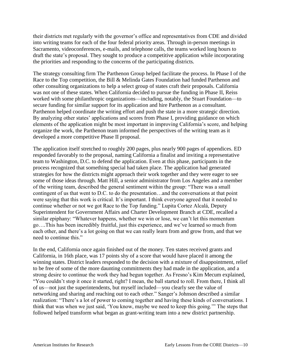their districts met regularly with the governor's office and representatives from CDE and divided into writing teams for each of the four federal priority areas. Through in-person meetings in Sacramento, videoconferences, e-mails, and telephone calls, the teams worked long hours to draft the state's proposal. They sought to produce a competitive application while incorporating the priorities and responding to the concerns of the participating districts.

The strategy consulting firm The Parthenon Group helped facilitate the process. In Phase I of the Race to the Top competition, the Bill & Melinda Gates Foundation had funded Parthenon and other consulting organizations to help a select group of states craft their proposals. California was not one of these states. When California decided to pursue the funding in Phase II, Reiss worked with some philanthropic organizations—including, notably, the Stuart Foundation—to secure funding for similar support for its application and hire Parthenon as a consultant. Parthenon helped coordinate the writing effort and push the state in a more strategic direction. By analyzing other states' applications and scores from Phase I, providing guidance on which elements of the application might be most important in improving California's score, and helping organize the work, the Parthenon team informed the perspectives of the writing team as it developed a more competitive Phase II proposal.

The application itself stretched to roughly 200 pages, plus nearly 900 pages of appendices. ED responded favorably to the proposal, naming California a finalist and inviting a representative team to Washington, D.C. to defend the application. Even at this phase, participants in the process recognized that something special had taken place. The application had generated strategies for how the districts might approach their work together and they were eager to see some of those ideas through. Matt Hill, a senior administrator from Los Angeles and a member of the writing team, described the general sentiment within the group: "There was a small contingent of us that went to D.C. to do the presentation…and the conversations at that point were saying that this work is critical. It's important. I think everyone agreed that it needed to continue whether or not we got Race to the Top funding." Lupita Cortez Alcalá, Deputy Superintendent for Government Affairs and Charter Development Branch at CDE, recalled a similar epiphany: "Whatever happens, whether we win or lose, we can't let this momentum go….This has been incredibly fruitful, just this experience, and we've learned so much from each other, and there's a lot going on that we can really learn from and grow from, and that we need to continue this."

In the end, California once again finished out of the money. Ten states received grants and California, in 16th place, was 17 points shy of a score that would have placed it among the winning states. District leaders responded to the decision with a mixture of disappointment, relief to be free of some of the more daunting commitments they had made in the application, and a strong desire to continue the work they had begun together. As Fresno's Kim Mecum explained, "You couldn't stop it once it started, right? I mean, the ball started to roll. From there, I think all of us—not just the superintendents, but myself included—you clearly see the value of networking and sharing and reaching out to each other." Sanger's Johnson described a similar realization: "There's a lot of power to coming together and having these kinds of conversations. I think that was when we just said, 'You know, maybe we need to keep this going.'" The steps that followed helped transform what began as grant-writing team into a new district partnership.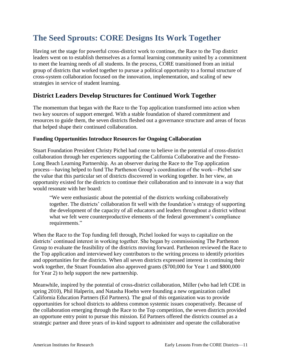## <span id="page-15-0"></span>**The Seed Sprouts: CORE Designs Its Work Together**

Having set the stage for powerful cross-district work to continue, the Race to the Top district leaders went on to establish themselves as a formal learning community united by a commitment to meet the learning needs of all students. In the process, CORE transitioned from an initial group of districts that worked together to pursue a political opportunity to a formal structure of cross-system collaboration focused on the innovation, implementation, and scaling of new strategies in service of student learning.

## <span id="page-15-1"></span>**District Leaders Develop Structures for Continued Work Together**

The momentum that began with the Race to the Top application transformed into action when two key sources of support emerged. With a stable foundation of shared commitment and resources to guide them, the seven districts fleshed out a governance structure and areas of focus that helped shape their continued collaboration.

#### **Funding Opportunities Introduce Resources for Ongoing Collaboration**

Stuart Foundation President Christy Pichel had come to believe in the potential of cross-district collaboration through her experiences supporting the California Collaborative and the Fresno-Long Beach Learning Partnership. As an observer during the Race to the Top application process—having helped to fund The Parthenon Group's coordination of the work—Pichel saw the value that this particular set of districts discovered in working together. In her view, an opportunity existed for the districts to continue their collaboration and to innovate in a way that would resonate with her board:

"We were enthusiastic about the potential of the districts working collaboratively together. The districts' collaboration fit well with the foundation's strategy of supporting the development of the capacity of all educators and leaders throughout a district without what we felt were counterproductive elements of the federal government's compliance requirements."

When the Race to the Top funding fell through, Pichel looked for ways to capitalize on the districts' continued interest in working together. She began by commissioning The Parthenon Group to evaluate the feasibility of the districts moving forward. Parthenon reviewed the Race to the Top application and interviewed key contributors to the writing process to identify priorities and opportunities for the districts. When all seven districts expressed interest in continuing their work together, the Stuart Foundation also approved grants (\$700,000 for Year 1 and \$800,000 for Year 2) to help support the new partnership.

Meanwhile, inspired by the potential of cross-district collaboration, Miller (who had left CDE in spring 2010), Phil Halperin, and Natasha Hoehn were founding a new organization called California Education Partners (Ed Partners). The goal of this organization was to provide opportunities for school districts to address common systemic issues cooperatively. Because of the collaboration emerging through the Race to the Top competition, the seven districts provided an opportune entry point to pursue this mission. Ed Partners offered the districts counsel as a strategic partner and three years of in-kind support to administer and operate the collaborative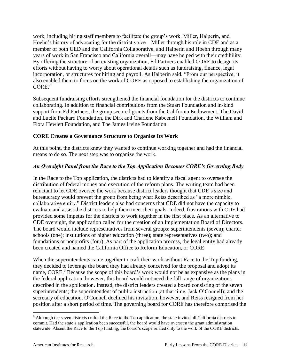work, including hiring staff members to facilitate the group's work. Miller, Halperin, and Hoehn's history of advocating for the district voice—Miller through his role in CDE and as a member of both UED and the California Collaborative, and Halperin and Hoehn through many years of work in San Francisco and California overall—may have helped with their credibility. By offering the structure of an existing organization, Ed Partners enabled CORE to design its efforts without having to worry about operational details such as fundraising, finance, legal incorporation, or structures for hiring and payroll. As Halperin said, "From our perspective, it also enabled them to focus on the work of CORE as opposed to establishing the organization of CORE."

Subsequent fundraising efforts strengthened the financial foundation for the districts to continue collaborating. In addition to financial contributions from the Stuart Foundation and in-kind support from Ed Partners, the group secured grants from the California Endowment, The David and Lucile Packard Foundation, the Dirk and Charlene Kabcenell Foundation, the William and Flora Hewlett Foundation, and The James Irvine Foundation.

#### **CORE Creates a Governance Structure to Organize Its Work**

At this point, the districts knew they wanted to continue working together and had the financial means to do so. The next step was to organize the work.

#### *An Oversight Panel from the Race to the Top Application Becomes CORE's Governing Body*

In the Race to the Top application, the districts had to identify a fiscal agent to oversee the distribution of federal money and execution of the reform plans. The writing team had been reluctant to let CDE oversee the work because district leaders thought that CDE's size and bureaucracy would prevent the group from being what Reiss described as "a more nimble, collaborative entity." District leaders also had concerns that CDE did not have the capacity to evaluate and assist the districts to help them meet their goals. Indeed, frustrations with CDE had provided some impetus for the districts to work together in the first place. As an alternative to CDE oversight, the application called for the creation of an Implementation Board of Directors. The board would include representatives from several groups: superintendents (seven); charter schools (one); institutions of higher education (three); state representatives (two); and foundations or nonprofits (four). As part of the application process, the legal entity had already been created and named the California Office to Reform Education, or CORE.

When the superintendents came together to craft their work without Race to the Top funding, they decided to leverage the board they had already conceived for the proposal and adopt its name, CORE.<sup>8</sup> Because the scope of this board's work would not be as expansive as the plans in the federal application, however, this board would not need the full range of organizations described in the application. Instead, the district leaders created a board consisting of the seven superintendents; the superintendent of public instruction (at that time, Jack O'Connell); and the secretary of education. O'Connell declined his invitation, however, and Reiss resigned from her position after a short period of time. The governing board for CORE has therefore comprised the

 $\overline{a}$ <sup>8</sup> Although the seven districts crafted the Race to the Top application, the state invited all California districts to commit. Had the state's application been successful, the board would have overseen the grant administration statewide. Absent the Race to the Top funding, the board's scope related only to the work of the CORE districts.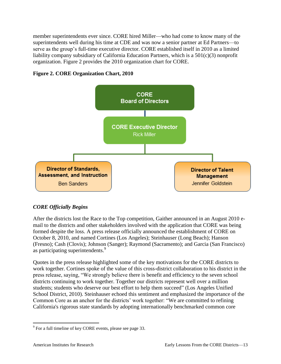member superintendents ever since. CORE hired Miller—who had come to know many of the superintendents well during his time at CDE and was now a senior partner at Ed Partners—to serve as the group's full-time executive director. CORE established itself in 2010 as a limited liability company subsidiary of California Education Partners, which is a 501(c)(3) nonprofit organization. Figure 2 provides the 2010 organization chart for CORE.





### *CORE Officially Begins*

After the districts lost the Race to the Top competition, Gaither announced in an August 2010 email to the districts and other stakeholders involved with the application that CORE was being formed despite the loss. A press release officially announced the establishment of CORE on October 8, 2010, and named Cortines (Los Angeles); Steinhauser (Long Beach); Hanson (Fresno); Cash (Clovis); Johnson (Sanger); Raymond (Sacramento); and Garcia (San Francisco) as participating superintendents.<sup>9</sup>

Quotes in the press release highlighted some of the key motivations for the CORE districts to work together. Cortines spoke of the value of this cross-district collaboration to his district in the press release, saying, "We strongly believe there is benefit and efficiency to the seven school districts continuing to work together. Together our districts represent well over a million students; students who deserve our best effort to help them succeed" (Los Angeles Unified School District, 2010). Steinhauser echoed this sentiment and emphasized the importance of the Common Core as an anchor for the districts' work together: "We are committed to refining California's rigorous state standards by adopting internationally benchmarked common core

 $\overline{a}$ 

 $9^9$  For a full timeline of key CORE events, please see page 33.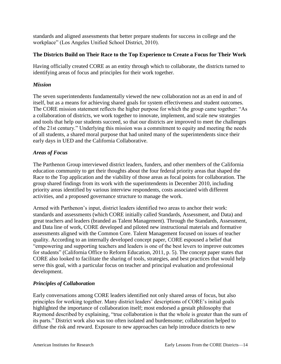standards and aligned assessments that better prepare students for success in college and the workplace" (Los Angeles Unified School District, 2010).

#### **The Districts Build on Their Race to the Top Experience to Create a Focus for Their Work**

Having officially created CORE as an entity through which to collaborate, the districts turned to identifying areas of focus and principles for their work together.

#### *Mission*

The seven superintendents fundamentally viewed the new collaboration not as an end in and of itself, but as a means for achieving shared goals for system effectiveness and student outcomes. The CORE mission statement reflects the higher purpose for which the group came together: "As a collaboration of districts, we work together to innovate, implement, and scale new strategies and tools that help our students succeed, so that our districts are improved to meet the challenges of the 21st century." Underlying this mission was a commitment to equity and meeting the needs of all students, a shared moral purpose that had united many of the superintendents since their early days in UED and the California Collaborative.

#### *Areas of Focus*

The Parthenon Group interviewed district leaders, funders, and other members of the California education community to get their thoughts about the four federal priority areas that shaped the Race to the Top application and the viability of those areas as focal points for collaboration. The group shared findings from its work with the superintendents in December 2010, including priority areas identified by various interview respondents, costs associated with different activities, and a proposed governance structure to manage the work.

Armed with Parthenon's input, district leaders identified two areas to anchor their work: standards and assessments (which CORE initially called Standards, Assessment, and Data) and great teachers and leaders (branded as Talent Management). Through the Standards, Assessment, and Data line of work, CORE developed and piloted new instructional materials and formative assessments aligned with the Common Core. Talent Management focused on issues of teacher quality. According to an internally developed concept paper, CORE espoused a belief that "empowering and supporting teachers and leaders is one of the best levers to improve outcomes for students" (California Office to Reform Education, 2011, p. 5). The concept paper states that CORE also looked to facilitate the sharing of tools, strategies, and best practices that would help serve this goal, with a particular focus on teacher and principal evaluation and professional development.

### *Principles of Collaboration*

Early conversations among CORE leaders identified not only shared areas of focus, but also principles for working together. Many district leaders' descriptions of CORE's initial goals highlighted the importance of collaboration itself; most endorsed a gestalt philosophy that Raymond described by explaining, "true collaboration is that the whole is greater than the sum of its parts." District work also was too often isolated and burdensome; collaboration helped to diffuse the risk and reward. Exposure to new approaches can help introduce districts to new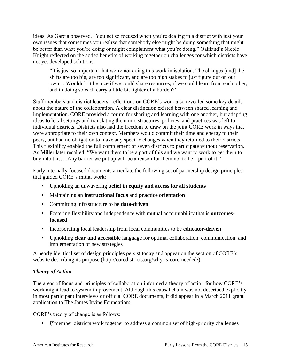ideas. As Garcia observed, "You get so focused when you're dealing in a district with just your own issues that sometimes you realize that somebody else might be doing something that might be better than what you're doing or might complement what you're doing." Oakland's Nicole Knight reflected on the added benefits of working together on challenges for which districts have not yet developed solutions:

"It is just so important that we're not doing this work in isolation. The changes [and] the shifts are too big, are too significant, and are too high stakes to just figure out on our own….Wouldn't it be nice if we could share resources, if we could learn from each other, and in doing so each carry a little bit lighter of a burden?"

Staff members and district leaders' reflections on CORE's work also revealed some key details about the nature of the collaboration. A clear distinction existed between shared learning and implementation. CORE provided a forum for sharing and learning with one another, but adapting ideas to local settings and translating them into structures, policies, and practices was left to individual districts. Districts also had the freedom to draw on the joint CORE work in ways that were appropriate to their own context. Members would commit their time and energy to their peers, but had no obligation to make any specific changes when they returned to their districts. This flexibility enabled the full complement of seven districts to participate without reservation. As Miller later recalled, "We want them to be a part of this and we want to work to get them to buy into this….Any barrier we put up will be a reason for them not to be a part of it."

Early internally-focused documents articulate the following set of partnership design principles that guided CORE's initial work:

- Upholding an unwavering **belief in equity and access for all students**
- Maintaining an **instructional focus** and **practice orientation**
- Committing infrastructure to be **data-driven**
- Fostering flexibility and independence with mutual accountability that is **outcomesfocused**
- Incorporating local leadership from local communities to be **educator-driven**
- Upholding **clear and accessible** language for optimal collaboration, communication, and implementation of new strategies

A nearly identical set of design principles persist today and appear on the section of CORE's website describing its purpose (http://coredistricts.org/why-is-core-needed/).

### *Theory of Action*

The areas of focus and principles of collaboration informed a theory of action for how CORE's work might lead to system improvement. Although this causal chain was not described explicitly in most participant interviews or official CORE documents, it did appear in a March 2011 grant application to The James Irvine Foundation:

CORE's theory of change is as follows:

■ *If* member districts work together to address a common set of high-priority challenges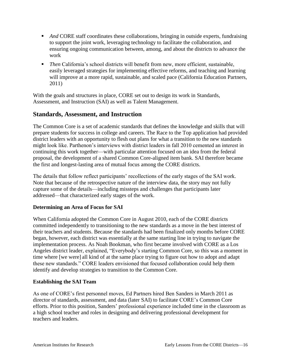- And CORE staff coordinates these collaborations, bringing in outside experts, fundraising to support the joint work, leveraging technology to facilitate the collaboration, and ensuring ongoing communication between, among, and about the districts to advance the work
- **Then California's school districts will benefit from new, more efficient, sustainable,** easily leveraged strategies for implementing effective reforms, and teaching and learning will improve at a more rapid, sustainable, and scaled pace (California Education Partners, 2011)

With the goals and structures in place, CORE set out to design its work in Standards, Assessment, and Instruction (SAI) as well as Talent Management.

## <span id="page-20-0"></span>**Standards, Assessment, and Instruction**

The Common Core is a set of academic standards that defines the knowledge and skills that will prepare students for success in college and careers. The Race to the Top application had provided district leaders with an opportunity to flesh out plans for what a transition to the new standards might look like. Parthenon's interviews with district leaders in fall 2010 cemented an interest in continuing this work together—with particular attention focused on an idea from the federal proposal, the development of a shared Common Core-aligned item bank. SAI therefore became the first and longest-lasting area of mutual focus among the CORE districts.

The details that follow reflect participants' recollections of the early stages of the SAI work. Note that because of the retrospective nature of the interview data, the story may not fully capture some of the details—including missteps and challenges that participants later addressed—that characterized early stages of the work.

#### **Determining an Area of Focus for SAI**

When California adopted the Common Core in August 2010, each of the CORE districts committed independently to transitioning to the new standards as a move in the best interest of their teachers and students. Because the standards had been finalized only months before CORE began, however, each district was essentially at the same starting line in trying to navigate the implementation process. As Noah Bookman, who first became involved with CORE as a Los Angeles district leader, explained, "Everybody's starting Common Core, so this was a moment in time where [we were] all kind of at the same place trying to figure out how to adopt and adapt these new standards." CORE leaders envisioned that focused collaboration could help them identify and develop strategies to transition to the Common Core.

#### **Establishing the SAI Team**

As one of CORE's first personnel moves, Ed Partners hired Ben Sanders in March 2011 as director of standards, assessment, and data (later SAI) to facilitate CORE's Common Core efforts. Prior to this position, Sanders' professional experience included time in the classroom as a high school teacher and roles in designing and delivering professional development for teachers and leaders.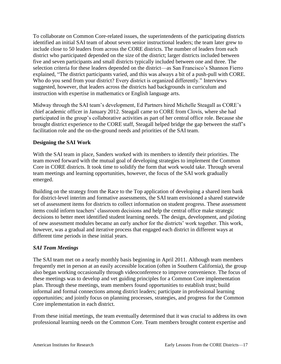To collaborate on Common Core-related issues, the superintendents of the participating districts identified an initial SAI team of about seven senior instructional leaders; the team later grew to include close to 50 leaders from across the CORE districts. The number of leaders from each district who participated depended on the size of the district; larger districts included between five and seven participants and small districts typically included between one and three. The selection criteria for these leaders depended on the district—as San Francisco's Shannon Fierro explained, "The district participants varied, and this was always a bit of a push-pull with CORE. Who do you send from your district? Every district is organized differently." Interviews suggested, however, that leaders across the districts had backgrounds in curriculum and instruction with expertise in mathematics or English language arts.

Midway through the SAI team's development, Ed Partners hired Michelle Steagall as CORE's chief academic officer in January 2012. Steagall came to CORE from Clovis, where she had participated in the group's collaborative activities as part of her central office role. Because she brought district experience to the CORE staff, Steagall helped bridge the gap between the staff's facilitation role and the on-the-ground needs and priorities of the SAI team.

#### **Designing the SAI Work**

With the SAI team in place, Sanders worked with its members to identify their priorities. The team moved forward with the mutual goal of developing strategies to implement the Common Core in CORE districts. It took time to solidify the form that work would take. Through several team meetings and learning opportunities, however, the focus of the SAI work gradually emerged.

Building on the strategy from the Race to the Top application of developing a shared item bank for district-level interim and formative assessments, the SAI team envisioned a shared statewide set of assessment items for districts to collect information on student progress. These assessment items could inform teachers' classroom decisions and help the central office make strategic decisions to better meet identified student learning needs. The design, development, and piloting of new assessment modules became an early anchor for the districts' work together. This work, however, was a gradual and iterative process that engaged each district in different ways at different time periods in these initial years.

#### *SAI Team Meetings*

The SAI team met on a nearly monthly basis beginning in April 2011. Although team members frequently met in person at an easily accessible location (often in Southern California), the group also began working occasionally through videoconference to improve convenience. The focus of these meetings was to develop and vet guiding principles for a Common Core implementation plan. Through these meetings, team members found opportunities to establish trust; build informal and formal connections among district leaders; participate in professional learning opportunities; and jointly focus on planning processes, strategies, and progress for the Common Core implementation in each district.

From these initial meetings, the team eventually determined that it was crucial to address its own professional learning needs on the Common Core. Team members brought content expertise and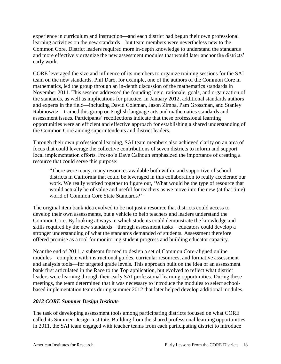experience in curriculum and instruction—and each district had begun their own professional learning activities on the new standards—but team members were nevertheless new to the Common Core. District leaders required more in-depth knowledge to understand the standards and more effectively organize the new assessment modules that would later anchor the districts' early work.

CORE leveraged the size and influence of its members to organize training sessions for the SAI team on the new standards. Phil Daro, for example, one of the authors of the Common Core in mathematics, led the group through an in-depth discussion of the mathematics standards in November 2011. This session addressed the founding logic, rationale, goals, and organization of the standards, as well as implications for practice. In January 2012, additional standards authors and experts in the field—including David Coleman, Jason Zimba, Pam Grossman, and Stanley Rabinowitz—trained this group on English language arts and mathematics standards and assessment issues. Participants' recollections indicate that these professional learning opportunities were an efficient and effective approach for establishing a shared understanding of the Common Core among superintendents and district leaders.

Through their own professional learning, SAI team members also achieved clarity on an area of focus that could leverage the collective contributions of seven districts to inform and support local implementation efforts. Fresno's Dave Calhoun emphasized the importance of creating a resource that could serve this purpose:

"There were many, many resources available both within and supportive of school districts in California that could be leveraged in this collaboration to really accelerate our work. We really worked together to figure out, 'What would be the type of resource that would actually be of value and useful for teachers as we move into the new (at that time) world of Common Core State Standards?'"

The original item bank idea evolved to be not just a resource that districts could access to develop their own assessments, but a vehicle to help teachers and leaders understand the Common Core. By looking at ways in which students could demonstrate the knowledge and skills required by the new standards—through assessment tasks—educators could develop a stronger understanding of what the standards demanded of students. Assessment therefore offered promise as a tool for monitoring student progress and building educator capacity.

Near the end of 2011, a subteam formed to design a set of Common Core-aligned online modules—complete with instructional guides, curricular resources, and formative assessment and analysis tools—for targeted grade levels. This approach built on the idea of an assessment bank first articulated in the Race to the Top application, but evolved to reflect what district leaders were learning through their early SAI professional learning opportunities. During these meetings, the team determined that it was necessary to introduce the modules to select schoolbased implementation teams during summer 2012 that later helped develop additional modules.

#### *2012 CORE Summer Design Institute*

The task of developing assessment tools among participating districts focused on what CORE called its Summer Design Institute. Building from the shared professional learning opportunities in 2011, the SAI team engaged with teacher teams from each participating district to introduce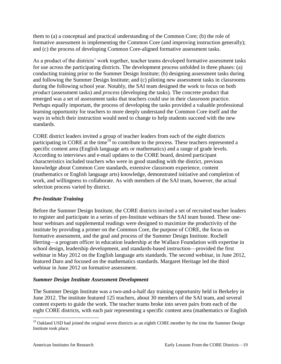them to (a) a conceptual and practical understanding of the Common Core; (b) the role of formative assessment in implementing the Common Core (and improving instruction generally); and (c) the process of developing Common Core-aligned formative assessment tasks.

As a product of the districts' work together, teacher teams developed formative assessment tasks for use across the participating districts. The development process unfolded in three phases: (a) conducting training prior to the Summer Design Institute; (b) designing assessment tasks during and following the Summer Design Institute; and (c) piloting new assessment tasks in classrooms during the following school year. Notably, the SAI team designed the work to focus on both *product* (assessment tasks) and *process* (developing the tasks)*.* The concrete product that emerged was a set of assessment tasks that teachers could use in their classroom practice. Perhaps equally important, the process of developing the tasks provided a valuable professional learning opportunity for teachers to more deeply understand the Common Core itself and the ways in which their instruction would need to change to help students succeed with the new standards.

CORE district leaders invited a group of teacher leaders from each of the eight districts participating in CORE at the time<sup>10</sup> to contribute to the process. These teachers represented a specific content area (English language arts or mathematics) and a range of grade levels. According to interviews and e-mail updates to the CORE board, desired participant characteristics included teachers who were in good standing with the district, previous knowledge about Common Core standards, extensive classroom experience, content (mathematics or English language arts) knowledge, demonstrated initiative and completion of work, and willingness to collaborate. As with members of the SAI team, however, the actual selection process varied by district.

### *Pre-Institute Training*

Before the Summer Design Institute, the CORE districts invited a set of recruited teacher leaders to register and participate in a series of pre-Institute webinars the SAI team hosted. These onehour webinars and supplemental readings were designed to maximize the productivity of the institute by providing a primer on the Common Core, the purpose of CORE, the focus on formative assessment, and the goal and process of the Summer Design Institute. Rochell Herring—a program officer in education leadership at the Wallace Foundation with expertise in school design, leadership development, and standards-based instruction—provided the first webinar in May 2012 on the English language arts standards. The second webinar, in June 2012, featured Daro and focused on the mathematics standards. Margaret Heritage led the third webinar in June 2012 on formative assessment.

#### *Summer Design Institute Assessment Development*

The Summer Design Institute was a two-and-a-half day training opportunity held in Berkeley in June 2012. The institute featured 125 teachers, about 30 members of the SAI team, and several content experts to guide the work. The teacher teams broke into seven pairs from each of the eight CORE districts, with each pair representing a specific content area (mathematics or English

 $\overline{a}$ <sup>10</sup> Oakland USD had joined the original seven districts as an eighth CORE member by the time the Summer Design Institute took place.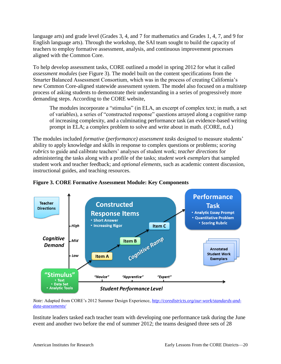language arts) and grade level (Grades 3, 4, and 7 for mathematics and Grades 1, 4, 7, and 9 for English language arts). Through the workshop, the SAI team sought to build the capacity of teachers to employ formative assessment, analysis, and continuous improvement processes aligned with the Common Core.

To help develop assessment tasks, CORE outlined a model in spring 2012 for what it called *assessment modules* (see Figure 3). The model built on the content specifications from the Smarter Balanced Assessment Consortium, which was in the process of creating California's new Common Core-aligned statewide assessment system. The model also focused on a multistep process of asking students to demonstrate their understanding in a series of progressively more demanding steps. According to the CORE website,

The modules incorporate a "stimulus" (in ELA, an excerpt of complex text; in math, a set of variables), a series of "constructed response" questions arrayed along a cognitive ramp of increasing complexity, and a culminating performance task (an evidence-based writing prompt in ELA; a complex problem to solve and write about in math. (CORE, n.d.)

The modules included *formative (performance) assessment tasks* designed to measure students' ability to apply knowledge and skills in response to complex questions or problems; *scoring rubrics* to guide and calibrate teachers' analyses of student work; *teacher directions* for administering the tasks along with a profile of the tasks; *student work exemplars* that sampled student work and teacher feedback; and *optional elements*, such as academic content discussion, instructional guides, and teaching resources.



**Figure 3. CORE Formative Assessment Module: Key Components**

*Note:* Adapted from CORE's 2012 Summer Design Experience, *[http://coredistricts.org/our-work/standards-and](http://coredistricts.org/our-work/standards-and-data-assessments/)[data-assessments/](http://coredistricts.org/our-work/standards-and-data-assessments/)*

Institute leaders tasked each teacher team with developing one performance task during the June event and another two before the end of summer 2012; the teams designed three sets of 28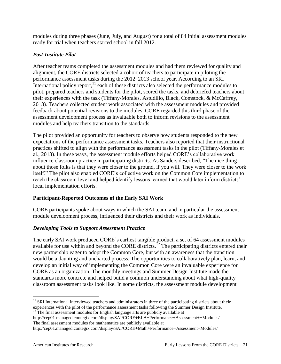modules during three phases (June, July, and August) for a total of 84 initial assessment modules ready for trial when teachers started school in fall 2012.

## *Post-Institute Pilot*

After teacher teams completed the assessment modules and had them reviewed for quality and alignment, the CORE districts selected a cohort of teachers to participate in piloting the performance assessment tasks during the 2012–2013 school year. According to an SRI International policy report, $\frac{11}{11}$  each of these districts also selected the performance modules to pilot, prepared teachers and students for the pilot, scored the tasks, and debriefed teachers about their experiences with the task (Tiffany-Morales, Astudillo, Black, Comstock, & McCaffrey, 2013). Teachers collected student work associated with the assessment modules and provided feedback about potential revisions to the modules. CORE regarded this third phase of the assessment development process as invaluable both to inform revisions to the assessment modules and help teachers transition to the standards.

The pilot provided an opportunity for teachers to observe how students responded to the new expectations of the performance assessment tasks. Teachers also reported that their instructional practices shifted to align with the performance assessment tasks in the pilot (Tiffany-Morales et al., 2013). In these ways, the assessment module efforts helped CORE's collaborative work influence classroom practice in participating districts. As Sanders described, "The nice thing about those folks is that they were closer to the ground, if you will. They were closer to the work itself." The pilot also enabled CORE's collective work on the Common Core implementation to reach the classroom level and helped identify lessons learned that would later inform districts' local implementation efforts.

## **Participant-Reported Outcomes of the Early SAI Work**

CORE participants spoke about ways in which the SAI team, and in particular the assessment module development process, influenced their districts and their work as individuals.

## *Developing Tools to Support Assessment Practice*

The early SAI work produced CORE's earliest tangible product, a set of 64 assessment modules available for use within and beyond the CORE districts.<sup>12</sup> The participating districts entered their new partnership eager to adopt the Common Core, but with an awareness that the transition would be a daunting and uncharted process. The opportunities to collaboratively plan, learn, and develop an initial way of implementing the Common Core were an invaluable experience for CORE as an organization. The monthly meetings and Summer Design Institute made the standards more concrete and helped build a common understanding about what high-quality classroom assessment tasks look like. In some districts, the assessment module development

http://cep01.managed.contegix.com/display/SAI/CORE+ELA+Performance+Assessment++Modules/ The final assessment modules for mathematics are publicly available at

 $\overline{a}$ 

 $11$  SRI International interviewed teachers and administrators in three of the participating districts about their experiences with the pilot of the performance assessment tasks following the Summer Design Institute.

 $12$ <sup>12</sup> The final assessment modules for English language arts are publicly available at

http://cep01.managed.contegix.com/display/SAI/CORE+Math+Performance+Assessment+Modules/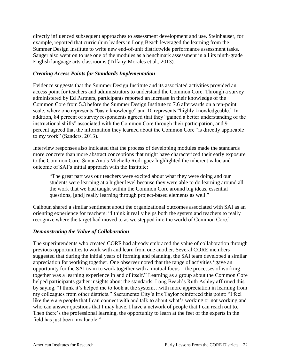directly influenced subsequent approaches to assessment development and use. Steinhauser, for example, reported that curriculum leaders in Long Beach leveraged the learning from the Summer Design Institute to write new end-of-unit districtwide performance assessment tasks. Sanger also went on to use one of the modules as a benchmark assessment in all its ninth-grade English language arts classrooms (Tiffany-Morales et al., 2013).

#### *Creating Access Points for Standards Implementation*

Evidence suggests that the Summer Design Institute and its associated activities provided an access point for teachers and administrators to understand the Common Core. Through a survey administered by Ed Partners, participants reported an increase in their knowledge of the Common Core from 5.3 before the Summer Design Institute to 7.6 afterwards on a ten-point scale, where one represents "basic knowledge" and 10 represents "highly knowledgeable." In addition, 84 percent of survey respondents agreed that they "gained a better understanding of the instructional shifts" associated with the Common Core through their participation, and 91 percent agreed that the information they learned about the Common Core "is directly applicable to my work" (Sanders, 2013).

Interview responses also indicated that the process of developing modules made the standards more concrete than more abstract conceptions that might have characterized their early exposure to the Common Core. Santa Ana's Michelle Rodriguez highlighted the inherent value and outcome of SAI's initial approach with the Institute:

"The great part was our teachers were excited about what they were doing and our students were learning at a higher level because they were able to do learning around all the work that we had taught within the Common Core around big ideas, essential questions, [and] really learning through project-based elements as well."

Calhoun shared a similar sentiment about the organizational outcomes associated with SAI as an orienting experience for teachers: "I think it really helps both the system and teachers to really recognize where the target had moved to as we stepped into the world of Common Core."

#### *Demonstrating the Value of Collaboration*

The superintendents who created CORE had already embraced the value of collaboration through previous opportunities to work with and learn from one another. Several CORE members suggested that during the initial years of forming and planning, the SAI team developed a similar appreciation for working together. One observer noted that the range of activities "gave an opportunity for the SAI team to work together with a mutual focus—the processes of working together was a learning experience in and of itself." Learning as a group about the Common Core helped participants gather insights about the standards. Long Beach's Ruth Ashley affirmed this by saying, "I think it's helped me to look at the system…with more appreciation in learning from my colleagues from other districts." Sacramento City's Iris Taylor reinforced this point: "I feel like there are people that I can connect with and talk to about what's working or not working and who can answer questions that I may have. I have a network of people that I can reach out to. Then there's the professional learning, the opportunity to learn at the feet of the experts in the field has just been invaluable."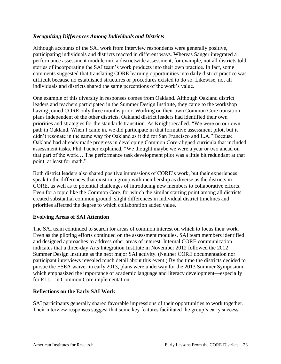#### *Recognizing Differences Among Individuals and Districts*

Although accounts of the SAI work from interview respondents were generally positive, participating individuals and districts reacted in different ways. Whereas Sanger integrated a performance assessment module into a districtwide assessment, for example, not all districts told stories of incorporating the SAI team's work products into their own practice. In fact, some comments suggested that translating CORE learning opportunities into daily district practice was difficult because no established structures or procedures existed to do so. Likewise, not all individuals and districts shared the same perceptions of the work's value.

One example of this diversity in responses comes from Oakland. Although Oakland district leaders and teachers participated in the Summer Design Institute, they came to the workshop having joined CORE only three months prior. Working on their own Common Core transition plans independent of the other districts, Oakland district leaders had identified their own priorities and strategies for the standards transition. As Knight recalled, "We were on our own path in Oakland. When I came in, we did participate in that formative assessment pilot, but it didn't resonate in the same way for Oakland as it did for San Francisco and L.A." Because Oakland had already made progress in developing Common Core-aligned curricula that included assessment tasks, Phil Tucher explained, "We thought maybe we were a year or two ahead on that part of the work….The performance task development pilot was a little bit redundant at that point, at least for math."

Both district leaders also shared positive impressions of CORE's work, but their experiences speak to the differences that exist in a group with membership as diverse as the districts in CORE, as well as to potential challenges of introducing new members to collaborative efforts. Even for a topic like the Common Core, for which the similar starting point among all districts created substantial common ground, slight differences in individual district timelines and priorities affected the degree to which collaboration added value.

#### **Evolving Areas of SAI Attention**

The SAI team continued to search for areas of common interest on which to focus their work. Even as the piloting efforts continued on the assessment modules, SAI team members identified and designed approaches to address other areas of interest. Internal CORE communication indicates that a three-day Arts Integration Institute in November 2012 followed the 2012 Summer Design Institute as the next major SAI activity. (Neither CORE documentation nor participant interviews revealed much detail about this event.) By the time the districts decided to pursue the ESEA waiver in early 2013, plans were underway for the 2013 Summer Symposium, which emphasized the importance of academic language and literacy development—especially for ELs—in Common Core implementation.

#### **Reflections on the Early SAI Work**

SAI participants generally shared favorable impressions of their opportunities to work together. Their interview responses suggest that some key features facilitated the group's early success.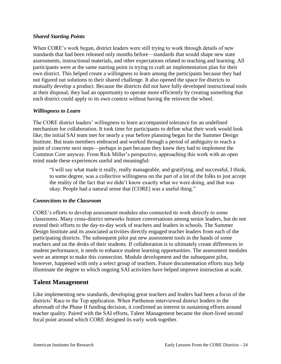#### *Shared Starting Points*

When CORE's work began, district leaders were still trying to work through details of new standards that had been released only months before—standards that would shape new state assessments, instructional materials, and other expectations related to teaching and learning. All participants were at the same starting point in trying to craft an implementation plan for their own district. This helped create a willingness to learn among the participants because they had not figured out solutions to their shared challenge. It also opened the space for districts to mutually develop a product. Because the districts did not have fully developed instructional tools at their disposal, they had an opportunity to operate more efficiently by creating something that each district could apply to its own context without having the reinvent the wheel.

#### *Willingness to Learn*

The CORE district leaders' willingness to learn accompanied tolerance for an undefined mechanism for collaboration. It took time for participants to define what their work would look like; the initial SAI team met for nearly a year before planning began for the Summer Design Institute. But team members embraced and worked through a period of ambiguity to reach a point of concrete next steps—perhaps in part because they knew they had to implement the Common Core anyway. From Rick Miller's perspective, approaching this work with an open mind made these experiences useful and meaningful:

"I will say what made it really, really manageable, and gratifying, and successful, I think, to some degree, was a collective willingness on the part of a lot of the folks to just accept the reality of the fact that we didn't know exactly what we were doing, and that was okay. People had a natural sense that [CORE] was a useful thing."

#### *Connections to the Classroom*

CORE's efforts to develop assessment modules also connected its work directly to some classrooms. Many cross-district networks feature conversations among senior leaders, but do not extend their efforts to the day-to-day work of teachers and leaders in schools. The Summer Design Institute and its associated activities directly engaged teacher leaders from each of the participating districts. The subsequent pilot put new assessment tools in the hands of some teachers and on the desks of their students. If collaboration is to ultimately create differences in student performance, it needs to enhance student learning opportunities. The assessment modules were an attempt to make this connection. Module development and the subsequent pilot, however, happened with only a select group of teachers. Future documentation efforts may help illuminate the degree to which ongoing SAI activities have helped improve instruction at scale.

### <span id="page-28-0"></span>**Talent Management**

Like implementing new standards, developing great teachers and leaders had been a focus of the districts' Race to the Top application. When Parthenon interviewed district leaders in the aftermath of the Phase II funding decision, it confirmed an interest in sustaining efforts around teacher quality. Paired with the SAI efforts, Talent Management became the short-lived second focal point around which CORE designed its early work together.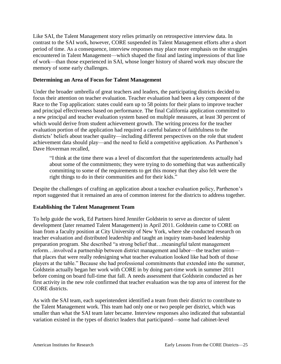Like SAI, the Talent Management story relies primarily on retrospective interview data. In contrast to the SAI work, however, CORE suspended its Talent Management efforts after a short period of time. As a consequence, interview responses may place more emphasis on the struggles encountered in Talent Management—which shaped the final and lasting impressions of that line of work—than those experienced in SAI, whose longer history of shared work may obscure the memory of some early challenges.

#### **Determining an Area of Focus for Talent Management**

Under the broader umbrella of great teachers and leaders, the participating districts decided to focus their attention on teacher evaluation. Teacher evaluation had been a key component of the Race to the Top application: states could earn up to 58 points for their plans to improve teacher and principal effectiveness based on performance. The final California application committed to a new principal and teacher evaluation system based on multiple measures, at least 30 percent of which would derive from student achievement growth. The writing process for the teacher evaluation portion of the application had required a careful balance of faithfulness to the districts' beliefs about teacher quality—including different perspectives on the role that student achievement data should play—and the need to field a competitive application. As Parthenon's Dave Hoverman recalled,

"I think at the time there was a level of discomfort that the superintendents actually had about some of the commitments; they were trying to do something that was authentically committing to some of the requirements to get this money that they also felt were the right things to do in their communities and for their kids."

Despite the challenges of crafting an application about a teacher evaluation policy, Parthenon's report suggested that it remained an area of common interest for the districts to address together.

#### **Establishing the Talent Management Team**

To help guide the work, Ed Partners hired Jennifer Goldstein to serve as director of talent development (later renamed Talent Management) in April 2011. Goldstein came to CORE on loan from a faculty position at City University of New York, where she conducted research on teacher evaluation and distributed leadership and taught an inquiry team-based leadership preparation program. She described "a strong belief that…meaningful talent management reform…involved a partnership between district management and labor—the teacher union that places that were really redesigning what teacher evaluation looked like had both of those players at the table." Because she had professional commitments that extended into the summer, Goldstein actually began her work with CORE in by doing part-time work in summer 2011 before coming on board full-time that fall. A needs assessment that Goldstein conducted as her first activity in the new role confirmed that teacher evaluation was the top area of interest for the CORE districts.

As with the SAI team, each superintendent identified a team from their district to contribute to the Talent Management work. This team had only one or two people per district, which was smaller than what the SAI team later became. Interview responses also indicated that substantial variation existed in the types of district leaders that participated—some had cabinet-level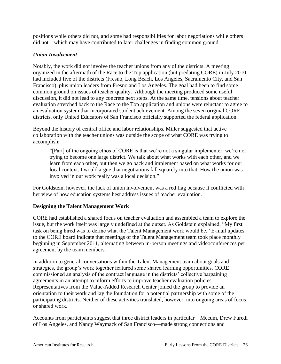positions while others did not, and some had responsibilities for labor negotiations while others did not—which may have contributed to later challenges in finding common ground.

#### *Union Involvement*

Notably, the work did not involve the teacher unions from any of the districts. A meeting organized in the aftermath of the Race to the Top application (but predating CORE) in July 2010 had included five of the districts (Fresno, Long Beach, Los Angeles, Sacramento City, and San Francisco), plus union leaders from Fresno and Los Angeles. The goal had been to find some common ground on issues of teacher quality. Although the meeting produced some useful discussion, it did not lead to any concrete next steps. At the same time, tensions about teacher evaluation stretched back to the Race to the Top application and unions were reluctant to agree to an evaluation system that incorporated student achievement. Among the seven original CORE districts, only United Educators of San Francisco officially supported the federal application.

Beyond the history of central office and labor relationships, Miller suggested that active collaboration with the teacher unions was outside the scope of what CORE was trying to accomplish:

"[Part] of the ongoing ethos of CORE is that we're not a singular implementer; we're not trying to become one large district. We talk about what works with each other, and we learn from each other, but then we go back and implement based on what works for our local context. I would argue that negotiations fall squarely into that. How the union was involved in our work really was a local decision."

For Goldstein, however, the lack of union involvement was a red flag because it conflicted with her view of how education systems best address issues of teacher evaluation.

#### **Designing the Talent Management Work**

CORE had established a shared focus on teacher evaluation and assembled a team to explore the issue, but the work itself was largely undefined at the outset. As Goldstein explained, "My first task on being hired was to define what the Talent Management work would be." E-mail updates to the CORE board indicate that meetings of the Talent Management team took place monthly beginning in September 2011, alternating between in-person meetings and videoconferences per agreement by the team members.

In addition to general conversations within the Talent Management team about goals and strategies, the group's work together featured some shared learning opportunities. CORE commissioned an analysis of the contract language in the districts' collective bargaining agreements in an attempt to inform efforts to improve teacher evaluation policies. Representatives from the Value-Added Research Center joined the group to provide an orientation to their work and lay the foundation for a potential partnership with some of the participating districts. Neither of these activities translated, however, into ongoing areas of focus or shared work.

Accounts from participants suggest that three district leaders in particular—Mecum, Drew Furedi of Los Angeles, and Nancy Waymack of San Francisco—made strong connections and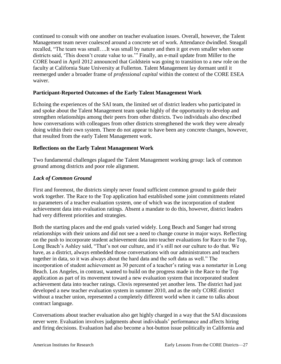continued to consult with one another on teacher evaluation issues. Overall, however, the Talent Management team never coalesced around a concrete set of work. Attendance dwindled. Steagall recalled, "The team was small….It was small by nature and then it got even smaller when some districts said, 'This doesn't create value to us.'" Finally, an e-mail update from Miller to the CORE board in April 2012 announced that Goldstein was going to transition to a new role on the faculty at California State University at Fullerton. Talent Management lay dormant until it reemerged under a broader frame of *professional capital* within the context of the CORE ESEA waiver.

#### **Participant-Reported Outcomes of the Early Talent Management Work**

Echoing the experiences of the SAI team, the limited set of district leaders who participated in and spoke about the Talent Management team spoke highly of the opportunity to develop and strengthen relationships among their peers from other districts. Two individuals also described how conversations with colleagues from other districts strengthened the work they were already doing within their own system. There do not appear to have been any concrete changes, however, that resulted from the early Talent Management work.

#### **Reflections on the Early Talent Management Work**

Two fundamental challenges plagued the Talent Management working group: lack of common ground among districts and poor role alignment.

#### *Lack of Common Ground*

First and foremost, the districts simply never found sufficient common ground to guide their work together. The Race to the Top application had established some joint commitments related to parameters of a teacher evaluation system, one of which was the incorporation of student achievement data into evaluation ratings. Absent a mandate to do this, however, district leaders had very different priorities and strategies.

Both the starting places and the end goals varied widely. Long Beach and Sanger had strong relationships with their unions and did not see a need to change course in major ways. Reflecting on the push to incorporate student achievement data into teacher evaluations for Race to the Top, Long Beach's Ashley said, "That's not our culture, and it's still not our culture to do that. We have, as a district, always embedded those conversations with our administrators and teachers together in data, so it was always about the hard data and the soft data as well." The incorporation of student achievement as 30 percent of a teacher's rating was a nonstarter in Long Beach. Los Angeles, in contrast, wanted to build on the progress made in the Race to the Top application as part of its movement toward a new evaluation system that incorporated student achievement data into teacher ratings. Clovis represented yet another lens. The district had just developed a new teacher evaluation system in summer 2010, and as the only CORE district without a teacher union, represented a completely different world when it came to talks about contract language.

Conversations about teacher evaluation also get highly charged in a way that the SAI discussions never were. Evaluation involves judgments about individuals' performance and affects hiring and firing decisions. Evaluation had also become a hot-button issue politically in California and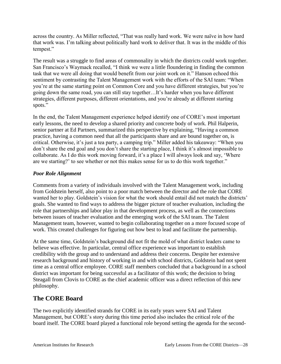across the country. As Miller reflected, "That was really hard work. We were naïve in how hard that work was. I'm talking about politically hard work to deliver that. It was in the middle of this tempest."

The result was a struggle to find areas of commonality in which the districts could work together. San Francisco's Waymack recalled, "I think we were a little floundering in finding the common task that we were all doing that would benefit from our joint work on it." Hanson echoed this sentiment by contrasting the Talent Management work with the efforts of the SAI team: "When you're at the same starting point on Common Core and you have different strategies, but you're going down the same road, you can still stay together…It's harder when you have different strategies, different purposes, different orientations, and you're already at different starting spots."

In the end, the Talent Management experience helped identify one of CORE's most important early lessons, the need to develop a shared priority and concrete body of work. Phil Halperin, senior partner at Ed Partners, summarized this perspective by explaining, "Having a common practice, having a common need that all the participants share and are bound together on, is critical. Otherwise, it's just a tea party, a camping trip." Miller added his takeaway: "When you don't share the end goal and you don't share the starting place, I think it's almost impossible to collaborate. As I do this work moving forward, it's a place I will always look and say, 'Where are we starting?' to see whether or not this makes sense for us to do this work together."

#### *Poor Role Alignment*

Comments from a variety of individuals involved with the Talent Management work, including from Goldstein herself, also point to a poor match between the director and the role that CORE wanted her to play. Goldstein's vision for what the work should entail did not match the districts' goals. She wanted to find ways to address the bigger picture of teacher evaluation, including the role that partnerships and labor play in that development process, as well as the connections between issues of teacher evaluation and the emerging work of the SAI team. The Talent Management team, however, wanted to begin collaborating together on a more focused scope of work. This created challenges for figuring out how best to lead and facilitate the partnership.

At the same time, Goldstein's background did not fit the mold of what district leaders came to believe was effective. In particular, central office experience was important to establish credibility with the group and to understand and address their concerns. Despite her extensive research background and history of working in and with school districts, Goldstein had not spent time as a central office employee. CORE staff members concluded that a background in a school district was important for being successful as a facilitator of this work; the decision to bring Steagall from Clovis to CORE as the chief academic officer was a direct reflection of this new philosophy.

## <span id="page-32-0"></span>**The CORE Board**

The two explicitly identified strands for CORE in its early years were SAI and Talent Management, but CORE's story during this time period also includes the critical role of the board itself. The CORE board played a functional role beyond setting the agenda for the second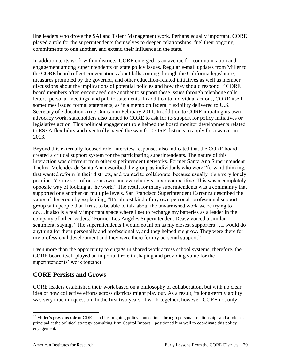line leaders who drove the SAI and Talent Management work. Perhaps equally important, CORE played a role for the superintendents themselves to deepen relationships, fuel their ongoing commitments to one another, and extend their influence in the state.

In addition to its work within districts, CORE emerged as an avenue for communication and engagement among superintendents on state policy issues. Regular e-mail updates from Miller to the CORE board reflect conversations about bills coming through the California legislature, measures promoted by the governor, and other education-related initiatives as well as member discussions about the implications of potential policies and how they should respond.<sup>13</sup> CORE board members often encouraged one another to support these issues through telephone calls, letters, personal meetings, and public statements. In addition to individual actions, CORE itself sometimes issued formal statements, as in a memo on federal flexibility delivered to U.S. Secretary of Education Arne Duncan in February 2011. In addition to CORE initiating its own advocacy work, stakeholders also turned to CORE to ask for its support for policy initiatives or legislative action. This political engagement role helped the board monitor developments related to ESEA flexibility and eventually paved the way for CORE districts to apply for a waiver in 2013.

Beyond this externally focused role, interview responses also indicated that the CORE board created a critical support system for the participating superintendents. The nature of this interaction was different from other superintendent networks. Former Santa Ana Superintendent Thelma Melendez de Santa Ana described the group as individuals who were "forward thinking, that wanted reform in their districts, and wanted to collaborate, because usually it's a very lonely position. You're sort of on your own, and everybody's super competitive. This was a completely opposite way of looking at the work." The result for many superintendents was a community that supported one another on multiple levels. San Francisco Superintendent Carranza described the value of the group by explaining, "It's almost kind of my own personal–professional support group with people that I trust to be able to talk about the unvarnished work we're trying to do….It also is a really important space where I get to recharge my batteries as a leader in the company of other leaders." Former Los Angeles Superintendent Deasy voiced a similar sentiment, saying, "The superintendents I would count on as my closest supporters….I would do anything for them personally and professionally, and they helped me grow. They were there for my professional development and they were there for my personal support."

Even more than the opportunity to engage in shared work across school systems, therefore, the CORE board itself played an important role in shaping and providing value for the superintendents' work together.

## <span id="page-33-0"></span>**CORE Persists and Grows**

CORE leaders established their work based on a philosophy of collaboration, but with no clear idea of how collective efforts across districts might play out. As a result, its long-term viability was very much in question. In the first two years of work together, however, CORE not only

 $\overline{a}$  $13$  Miller's previous role at CDE—and his ongoing policy connections through personal relationships and a role as a principal at the political strategy consulting firm Capitol Impact—positioned him well to coordinate this policy engagement.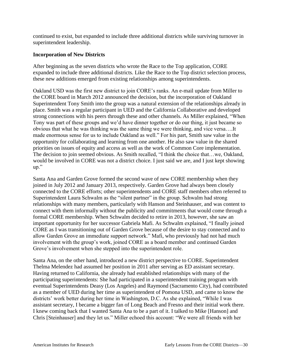continued to exist, but expanded to include three additional districts while surviving turnover in superintendent leadership.

#### **Incorporation of New Districts**

After beginning as the seven districts who wrote the Race to the Top application, CORE expanded to include three additional districts. Like the Race to the Top district selection process, these new additions emerged from existing relationships among superintendents.

Oakland USD was the first new district to join CORE's ranks. An e-mail update from Miller to the CORE board in March 2012 announced the decision, but the incorporation of Oakland Superintendent Tony Smith into the group was a natural extension of the relationships already in place. Smith was a regular participant in UED and the California Collaborative and developed strong connections with his peers through these and other channels. As Miller explained, "When Tony was part of these groups and we'd have dinner together or do our thing, it just became so obvious that what he was thinking was the same thing we were thinking, and vice versa….It made enormous sense for us to include Oakland as well." For his part, Smith saw value in the opportunity for collaborating and learning from one another. He also saw value in the shared priorities on issues of equity and access as well as the work of Common Core implementation. The decision to join seemed obvious. As Smith recalled, "I think the choice that…we, Oakland, would be involved in CORE was not a district choice. I just said we are, and I just kept showing up."

Santa Ana and Garden Grove formed the second wave of new CORE membership when they joined in July 2012 and January 2013, respectively. Garden Grove had always been closely connected to the CORE efforts; other superintendents and CORE staff members often referred to Superintendent Laura Schwalm as the "silent partner" in the group. Schwalm had strong relationships with many members, particularly with Hanson and Steinhauser, and was content to connect with them informally without the publicity and commitments that would come through a formal CORE membership. When Schwalm decided to retire in 2013, however, she saw an important opportunity for her successor Gabriela Mafi. As Schwalm explained, "I finally joined CORE as I was transitioning out of Garden Grove because of the desire to stay connected and to allow Garden Grove an immediate support network." Mafi, who previously had not had much involvement with the group's work, joined CORE as a board member and continued Garden Grove's involvement when she stepped into the superintendent role.

Santa Ana, on the other hand, introduced a new district perspective to CORE. Superintendent Thelma Melendez had assumed her position in 2011 after serving as ED assistant secretary. Having returned to California, she already had established relationships with many of the participating superintendents: She had participated in a superintendent training program with eventual Superintendents Deasy (Los Angeles) and Raymond (Sacramento City), had contributed as a member of UED during her time as superintendent of Pomona USD, and came to know the districts' work better during her time in Washington, D.C. As she explained, "While I was assistant secretary, I became a bigger fan of Long Beach and Fresno and their initial work there. I knew coming back that I wanted Santa Ana to be a part of it. I talked to Mike [Hanson] and Chris [Steinhauser] and they let us." Miller echoed this account: "We were all friends with her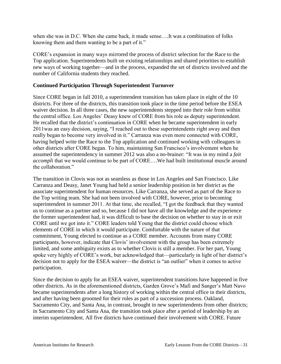when she was in D.C. When she came back, it made sense….It was a combination of folks knowing them and them wanting to be a part of it."

CORE's expansion in many ways mirrored the process of district selection for the Race to the Top application. Superintendents built on existing relationships and shared priorities to establish new ways of working together—and in the process, expanded the set of districts involved and the number of California students they reached.

#### **Continued Participation Through Superintendent Turnover**

Since CORE began in fall 2010, a superintendent transition has taken place in eight of the 10 districts. For three of the districts, this transition took place in the time period before the ESEA waiver decision. In all three cases, the new superintendents stepped into their role from within the central office. Los Angeles' Deasy knew of CORE from his role as deputy superintendent. He recalled that the district's continuation in CORE when he became superintendent in early 2011was an easy decision, saying, "I reached out to these superintendents right away and then really began to become very involved in it." Carranza was even more connected with CORE, having helped write the Race to the Top application and continued working with colleagues in other districts after CORE began. To him, maintaining San Francisco's involvement when he assumed the superintendency in summer 2012 was also a no-brainer: "It was in my mind a *fait accompli* that we would continue to be part of CORE....We had built institutional muscle around the collaboration."

The transition in Clovis was not as seamless as those in Los Angeles and San Francisco. Like Carranza and Deasy, Janet Young had held a senior leadership position in her district as the associate superintendent for human resources. Like Carranza, she served as part of the Race to the Top writing team. She had not been involved with CORE, however, prior to becoming superintendent in summer 2011. At that time, she recalled, "I got the feedback that they wanted us to continue as a partner and so, because I did not have all the knowledge and the experience the former superintendent had, it was difficult to base the decision on whether to stay in or exit CORE until we got into it." CORE leaders told Young that the district could choose which elements of CORE in which it would participate. Comfortable with the nature of that commitment, Young elected to continue as a CORE member. Accounts from many CORE participants, however, indicate that Clovis' involvement with the group has been extremely limited, and some ambiguity exists as to whether Clovis is still a member. For her part, Young spoke very highly of CORE's work, but acknowledged that—particularly in light of her district's decision not to apply for the ESEA waiver—the district is "an outlier" when it comes to active participation.

Since the decision to apply for an ESEA waiver, superintendent transitions have happened in five other districts. As in the aforementioned districts, Garden Grove's Mafi and Sanger's Matt Navo became superintendents after a long history of working within the central office in their districts, and after having been groomed for their roles as part of a succession process. Oakland, Sacramento City, and Santa Ana, in contrast, brought in new superintendents from other districts; in Sacramento City and Santa Ana, the transition took place after a period of leadership by an interim superintendent. All five districts have continued their involvement with CORE. Future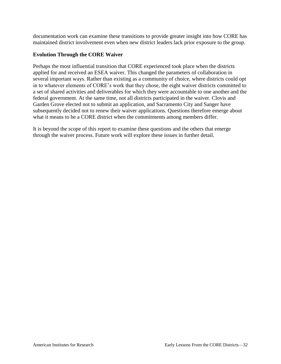documentation work can examine these transitions to provide greater insight into how CORE has maintained district involvement even when new district leaders lack prior exposure to the group.

#### **Evolution Through the CORE Waiver**

Perhaps the most influential transition that CORE experienced took place when the districts applied for and received an ESEA waiver. This changed the parameters of collaboration in several important ways. Rather than existing as a community of choice, where districts could opt in to whatever elements of CORE's work that they chose, the eight waiver districts committed to a set of shared activities and deliverables for which they were accountable to one another and the federal government. At the same time, not all districts participated in the waiver. Clovis and Garden Grove elected not to submit an application, and Sacramento City and Sanger have subsequently decided not to renew their waiver applications. Questions therefore emerge about what it means to be a CORE district when the commitments among members differ.

It is beyond the scope of this report to examine these questions and the others that emerge through the waiver process. Future work will explore these issues in further detail.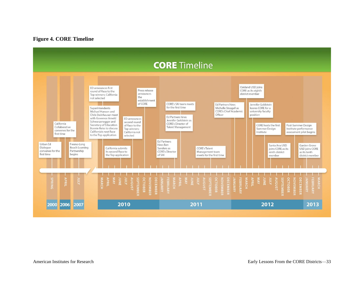#### **Figure 4. CORE Timeline**

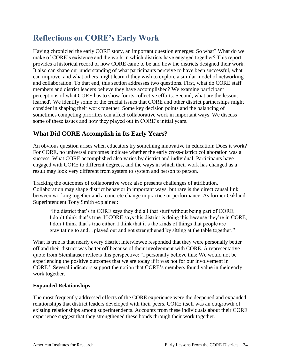## <span id="page-38-0"></span>**Reflections on CORE's Early Work**

Having chronicled the early CORE story, an important question emerges: So what? What do we make of CORE's existence and the work in which districts have engaged together? This report provides a historical record of how CORE came to be and how the districts designed their work. It also can shape our understanding of what participants perceive to have been successful, what can improve, and what others might learn if they wish to explore a similar model of networking and collaboration. To that end, this section addresses two questions. First, what do CORE staff members and district leaders believe they have accomplished? We examine participant perceptions of what CORE has to show for its collective efforts. Second, what are the lessons learned? We identify some of the crucial issues that CORE and other district partnerships might consider in shaping their work together. Some key decision points and the balancing of sometimes competing priorities can affect collaborative work in important ways. We discuss some of these issues and how they played out in CORE's initial years.

## <span id="page-38-1"></span>**What Did CORE Accomplish in Its Early Years?**

An obvious question arises when educators try something innovative in education: Does it work? For CORE, no universal outcomes indicate whether the early cross-district collaboration was a success. What CORE accomplished also varies by district and individual. Participants have engaged with CORE to different degrees, and the ways in which their work has changed as a result may look very different from system to system and person to person.

Tracking the outcomes of collaborative work also presents challenges of attribution. Collaboration may shape district behavior in important ways, but rare is the direct causal link between working together and a concrete change in practice or performance. As former Oakland Superintendent Tony Smith explained:

"If a district that's in CORE says they did all that stuff without being part of CORE, I don't think that's true. If CORE says this district is doing this because they're in CORE, I don't think that's true either. I think that it's the kinds of things that people are gravitating to and…played out and got strengthened by sitting at the table together."

What is true is that nearly every district interviewee responded that they were personally better off and their district was better off because of their involvement with CORE. A representative quote from Steinhauser reflects this perspective: "I personally believe this: We would not be experiencing the positive outcomes that we are today if it was not for our involvement in CORE." Several indicators support the notion that CORE's members found value in their early work together.

### **Expanded Relationships**

The most frequently addressed effects of the CORE experience were the deepened and expanded relationships that district leaders developed with their peers. CORE itself was an outgrowth of existing relationships among superintendents. Accounts from these individuals about their CORE experience suggest that they strengthened these bonds through their work together.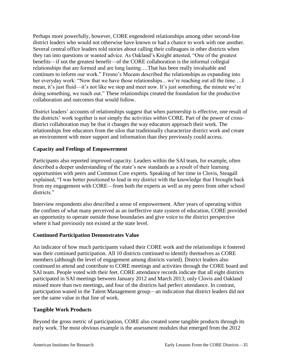Perhaps more powerfully, however, CORE engendered relationships among other second-line district leaders who would not otherwise have known or had a chance to work with one another. Several central office leaders told stories about calling their colleagues in other districts when they ran into questions or wanted advice. As Oakland's Knight attested, "One of the greatest benefits—if not the greatest benefit—of the CORE collaboration is the informal collegial relationships that are formed and are long lasting….That has been really invaluable and continues to inform our work." Fresno's Mecum described the relationships as expanding into her everyday work: "Now that we have those relationships...we're reaching out all the time..... mean, it's just fluid—it's not like we stop and meet now. It's just something, the minute we're doing something, we reach out." These relationships created the foundation for the productive collaboration and outcomes that would follow.

District leaders' accounts of relationships suggest that when partnership is effective, one result of the districts' work together is not simply the activities *within* CORE. Part of the power of crossdistrict collaboration may be that it changes the way educators approach their work. The relationships free educators from the silos that traditionally characterize district work and create an environment with more support and information than they previously could access.

#### **Capacity and Feelings of Empowerment**

Participants also reported improved capacity. Leaders within the SAI team, for example, often described a deeper understanding of the state's new standards as a result of their learning opportunities with peers and Common Core experts. Speaking of her time in Clovis, Steagall explained, "I was better positioned to lead in my district with the knowledge that I brought back from my engagement with CORE—from both the experts as well as my peers from other school districts."

Interview respondents also described a sense of empowerment. After years of operating within the confines of what many perceived as an ineffective state system of education, CORE provided an opportunity to operate outside those boundaries and give voice to the district perspective where it had previously not existed at the state level.

#### **Continued Participation Demonstrates Value**

An indicator of how much participants valued their CORE work and the relationships it fostered was their continued participation. All 10 districts continued to identify themselves as CORE members (although the level of engagement among districts varied). District leaders also continued to attend and contribute to CORE meetings and activities through the CORE board and SAI team. People voted with their feet. CORE attendance records indicate that all eight districts participated in SAI meetings between January 2012 and March 2013; only Clovis and Oakland missed more than two meetings, and four of the districts had perfect attendance. In contrast, participation waned in the Talent Management group—an indication that district leaders did not see the same value in that line of work.

#### **Tangible Work Products**

Beyond the gross metric of participation, CORE also created some tangible products through its early work. The most obvious example is the assessment modules that emerged from the 2012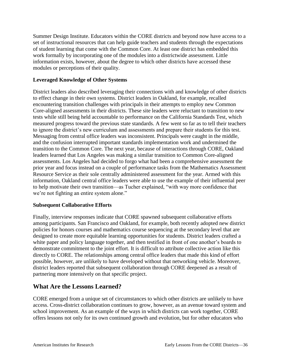Summer Design Institute. Educators within the CORE districts and beyond now have access to a set of instructional resources that can help guide teachers and students through the expectations of student learning that come with the Common Core. At least one district has embedded this work formally by incorporating one of the modules into a districtwide assessment. Little information exists, however, about the degree to which other districts have accessed these modules or perceptions of their quality.

#### **Leveraged Knowledge of Other Systems**

District leaders also described leveraging their connections with and knowledge of other districts to effect change in their own systems. District leaders in Oakland, for example, recalled encountering transition challenges with principals in their attempts to employ new Common Core-aligned assessments in their districts. These site leaders were reluctant to transition to new tests while still being held accountable to performance on the California Standards Test, which measured progress toward the previous state standards. A few went so far as to tell their teachers to ignore the district's new curriculum and assessments and prepare their students for this test. Messaging from central office leaders was inconsistent. Principals were caught in the middle, and the confusion interrupted important standards implementation work and undermined the transition to the Common Core. The next year, because of interactions through CORE, Oakland leaders learned that Los Angeles was making a similar transition to Common Core-aligned assessments. Los Angeles had decided to forgo what had been a comprehensive assessment the prior year and focus instead on a couple of performance tasks from the Mathematics Assessment Resource Service as their sole centrally administered assessment for the year. Armed with this information, Oakland central office leaders were able to use the example of their influential peer to help motivate their own transition—as Tucher explained, "with way more confidence that we're not fighting an entire system alone."

#### **Subsequent Collaborative Efforts**

Finally, interview responses indicate that CORE spawned subsequent collaborative efforts among participants. San Francisco and Oakland, for example, both recently adopted new district policies for honors courses and mathematics course sequencing at the secondary level that are designed to create more equitable learning opportunities for students. District leaders crafted a white paper and policy language together, and then testified in front of one another's boards to demonstrate commitment to the joint effort. It is difficult to attribute collective action like this directly to CORE. The relationships among central office leaders that made this kind of effort possible, however, are unlikely to have developed without that networking vehicle. Moreover, district leaders reported that subsequent collaboration through CORE deepened as a result of partnering more intensively on that specific project.

## <span id="page-40-0"></span>**What Are the Lessons Learned?**

CORE emerged from a unique set of circumstances to which other districts are unlikely to have access. Cross-district collaboration continues to grow, however, as an avenue toward system and school improvement. As an example of the ways in which districts can work together, CORE offers lessons not only for its own continued growth and evolution, but for other educators who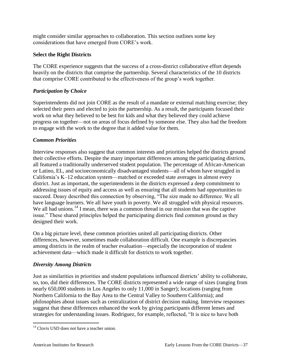might consider similar approaches to collaboration. This section outlines some key considerations that have emerged from CORE's work.

#### **Select the Right Districts**

The CORE experience suggests that the success of a cross-district collaborative effort depends heavily on the districts that comprise the partnership. Several characteristics of the 10 districts that comprise CORE contributed to the effectiveness of the group's work together.

#### *Participation by Choice*

Superintendents did not join CORE as the result of a mandate or external matching exercise; they selected their peers and elected to join the partnership. As a result, the participants focused their work on what they believed to be best for kids and what they believed they could achieve progress on together—not on areas of focus defined by someone else. They also had the freedom to engage with the work to the degree that it added value for them.

#### *Common Priorities*

Interview responses also suggest that common interests and priorities helped the districts ground their collective efforts. Despite the many important differences among the participating districts, all featured a traditionally underserved student population. The percentage of African-American or Latino, EL, and socioeconomically disadvantaged students—all of whom have struggled in California's K–12 education system—matched or exceeded state averages in almost every district. Just as important, the superintendents in the districts expressed a deep commitment to addressing issues of equity and access as well as ensuring that all students had opportunities to succeed. Deasy described this connection by observing, "The size made no difference. We all have language learners. We all have youth in poverty. We all struggled with physical resources. We all had unions.<sup>14</sup> I mean, there was a common thread in our mission that was the captive issue." These shared principles helped the participating districts find common ground as they designed their work.

On a big picture level, these common priorities united all participating districts. Other differences, however, sometimes made collaboration difficult. One example is discrepancies among districts in the realm of teacher evaluation—especially the incorporation of student achievement data—which made it difficult for districts to work together.

### *Diversity Among Districts*

Just as similarities in priorities and student populations influenced districts' ability to collaborate, so, too, did their differences. The CORE districts represented a wide range of sizes (ranging from nearly 650,000 students in Los Angeles to only 11,000 in Sanger); locations (ranging from Northern California to the Bay Area to the Central Valley to Southern California); and philosophies about issues such as centralization of district decision making. Interview responses suggest that these differences enhanced the work by giving participants different lenses and strategies for understanding issues. Rodriguez, for example, reflected, "It is nice to have both

 $\overline{a}$ 

 $14$  Clovis USD does not have a teacher union.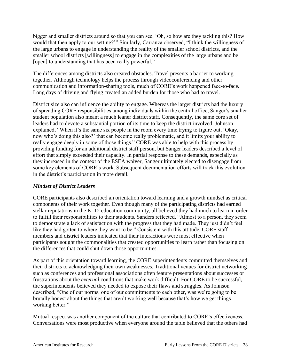bigger and smaller districts around so that you can see, 'Oh, so how are they tackling this? How would that then apply to our setting?'" Similarly, Carranza observed, "I think the willingness of the large urbans to engage in understanding the reality of the smaller school districts, and the smaller school districts [willingness] to engage in the complexities of the large urbans and be [open] to understanding that has been really powerful."

The differences among districts also created obstacles. Travel presents a barrier to working together. Although technology helps the process through videoconferencing and other communication and information-sharing tools, much of CORE's work happened face-to-face. Long days of driving and flying created an added burden for those who had to travel.

District size also can influence the ability to engage. Whereas the larger districts had the luxury of spreading CORE responsibilities among individuals within the central office, Sanger's smaller student population also meant a much leaner district staff. Consequently, the same core set of leaders had to devote a substantial portion of its time to keep the district involved. Johnson explained, "When it's the same six people in the room every time trying to figure out, 'Okay, now who's doing this also?' that can become really problematic, and it limits your ability to really engage deeply in some of those things." CORE was able to help with this process by providing funding for an additional district staff person, but Sanger leaders described a level of effort that simply exceeded their capacity. In partial response to these demands, especially as they increased in the context of the ESEA waiver, Sanger ultimately elected to disengage from some key elements of CORE's work. Subsequent documentation efforts will track this evolution in the district's participation in more detail.

#### *Mindset of District Leaders*

CORE participants also described an orientation toward learning and a growth mindset as critical components of their work together. Even though many of the participating districts had earned stellar reputations in the K–12 education community, all believed they had much to learn in order to fulfill their responsibilities to their students. Sanders reflected, "Almost to a person, they seem to demonstrate a lack of satisfaction with the progress that they had made. They just didn't feel like they had gotten to where they want to be." Consistent with this attitude, CORE staff members and district leaders indicated that their interactions were most effective when participants sought the commonalities that created opportunities to learn rather than focusing on the differences that could shut down those opportunities.

As part of this orientation toward learning, the CORE superintendents committed themselves and their districts to acknowledging their own weaknesses. Traditional venues for district networking such as conferences and professional associations often feature presentations about successes or frustrations about the *external* conditions that make work difficult. For CORE to be successful, the superintendents believed they needed to expose their flaws and struggles. As Johnson described, "One of our norms, one of our commitments to each other, was we're going to be brutally honest about the things that aren't working well because that's how we get things working better."

Mutual respect was another component of the culture that contributed to CORE's effectiveness. Conversations were most productive when everyone around the table believed that the others had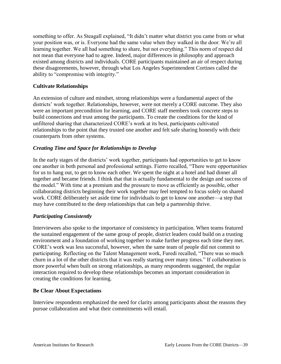something to offer. As Steagall explained, "It didn't matter what district you came from or what your position was, or is. Everyone had the same value when they walked in the door. We're all learning together. We all had something to share, but not everything." This norm of respect did not mean that everyone had to agree. Indeed, major differences in philosophy and approach existed among districts and individuals. CORE participants maintained an air of respect during these disagreements, however, through what Los Angeles Superintendent Cortines called the ability to "compromise with integrity."

#### **Cultivate Relationships**

An extension of culture and mindset, strong relationships were a fundamental aspect of the districts' work together. Relationships, however, were not merely a CORE outcome. They also were an important precondition for learning, and CORE staff members took concrete steps to build connections and trust among the participants. To create the conditions for the kind of unfiltered sharing that characterized CORE's work at its best, participants cultivated relationships to the point that they trusted one another and felt safe sharing honestly with their counterparts from other systems.

#### *Creating Time and Space for Relationships to Develop*

In the early stages of the districts' work together, participants had opportunities to get to know one another in both personal and professional settings. Fierro recalled, "There were opportunities for us to hang out, to get to know each other. We spent the night at a hotel and had dinner all together and became friends. I think that that is actually fundamental to the design and success of the model." With time at a premium and the pressure to move as efficiently as possible, other collaborating districts beginning their work together may feel tempted to focus solely on shared work. CORE deliberately set aside time for individuals to get to know one another—a step that may have contributed to the deep relationships that can help a partnership thrive.

#### *Participating Consistently*

Interviewees also spoke to the importance of consistency in participation. When teams featured the sustained engagement of the same group of people, district leaders could build on a trusting environment and a foundation of working together to make further progress each time they met. CORE's work was less successful, however, when the same team of people did not commit to participating. Reflecting on the Talent Management work, Furedi recalled, "There was so much churn in a lot of the other districts that it was really starting over many times." If collaboration is more powerful when built on strong relationships, as many respondents suggested, the regular interaction required to develop these relationships becomes an important consideration in creating the conditions for learning.

#### **Be Clear About Expectations**

Interview respondents emphasized the need for clarity among participants about the reasons they pursue collaboration and what their commitments will entail.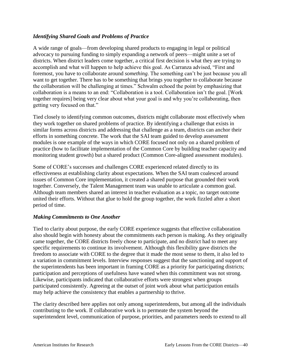#### *Identifying Shared Goals and Problems of Practice*

A wide range of goals—from developing shared products to engaging in legal or political advocacy to pursuing funding to simply expanding a network of peers—might unite a set of districts. When district leaders come together, a critical first decision is what they are trying to accomplish and what will happen to help achieve this goal. As Carranza advised, "First and foremost, you have to collaborate around *something*. The something can't be just because you all want to get together. There has to be something that brings you together to collaborate because the collaboration will be challenging at times." Schwalm echoed the point by emphasizing that collaboration is a means to an end: "Collaboration is a tool. Collaboration isn't the goal. [Work together requires] being very clear about what your goal is and why you're collaborating, then getting very focused on that."

Tied closely to identifying common outcomes, districts might collaborate most effectively when they work together on shared problems of practice. By identifying a challenge that exists in similar forms across districts and addressing that challenge as a team, districts can anchor their efforts in something concrete. The work that the SAI team guided to develop assessment modules is one example of the ways in which CORE focused not only on a shared problem of practice (how to facilitate implementation of the Common Core by building teacher capacity and monitoring student growth) but a shared product (Common Core-aligned assessment modules).

Some of CORE's successes and challenges CORE experienced related directly to its effectiveness at establishing clarity about expectations. When the SAI team coalesced around issues of Common Core implementation, it created a shared purpose that grounded their work together. Conversely, the Talent Management team was unable to articulate a common goal. Although team members shared an interest in teacher evaluation as a topic, no target outcome united their efforts. Without that glue to hold the group together, the work fizzled after a short period of time.

#### *Making Commitments to One Another*

Tied to clarity about purpose, the early CORE experience suggests that effective collaboration also should begin with honesty about the commitments each person is making. As they originally came together, the CORE districts freely chose to participate, and no district had to meet any specific requirements to continue its involvement. Although this flexibility gave districts the freedom to associate with CORE to the degree that it made the most sense to them, it also led to a variation in commitment levels. Interview responses suggest that the sanctioning and support of the superintendents has been important in framing CORE as a priority for participating districts; participation and perceptions of usefulness have waned when this commitment was not strong. Likewise, participants indicated that collaborative efforts were strongest when groups participated consistently. Agreeing at the outset of joint work about what participation entails may help achieve the consistency that enables a partnership to thrive.

The clarity described here applies not only among superintendents, but among all the individuals contributing to the work. If collaborative work is to permeate the system beyond the superintendent level, communication of purpose, priorities, and parameters needs to extend to all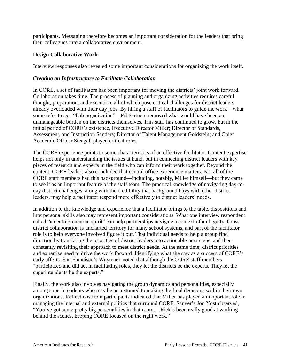participants. Messaging therefore becomes an important consideration for the leaders that bring their colleagues into a collaborative environment.

#### **Design Collaborative Work**

Interview responses also revealed some important considerations for organizing the work itself.

#### *Creating an Infrastructure to Facilitate Collaboration*

In CORE, a set of facilitators has been important for moving the districts' joint work forward. Collaboration takes time. The process of planning and organizing activities requires careful thought, preparation, and execution, all of which pose critical challenges for district leaders already overloaded with their day jobs. By hiring a staff of facilitators to guide the work—what some refer to as a "hub organization"—Ed Partners removed what would have been an unmanageable burden on the districts themselves. This staff has continued to grow, but in the initial period of CORE's existence, Executive Director Miller; Director of Standards, Assessment, and Instruction Sanders; Director of Talent Management Goldstein; and Chief Academic Officer Steagall played critical roles.

The CORE experience points to some characteristics of an effective facilitator. Content expertise helps not only in understanding the issues at hand, but in connecting district leaders with key pieces of research and experts in the field who can inform their work together. Beyond the content, CORE leaders also concluded that central office experience matters. Not all of the CORE staff members had this background—including, notably, Miller himself—but they came to see it as an important feature of the staff team. The practical knowledge of navigating day-today district challenges, along with the credibility that background buys with other district leaders, may help a facilitator respond more effectively to district leaders' needs.

In addition to the knowledge and experience that a facilitator brings to the table, dispositions and interpersonal skills also may represent important considerations. What one interview respondent called "an entrepreneurial spirit" can help partnerships navigate a context of ambiguity. Crossdistrict collaboration is uncharted territory for many school systems, and part of the facilitator role is to help everyone involved figure it out. That individual needs to help a group find direction by translating the priorities of district leaders into actionable next steps, and then constantly revisiting their approach to meet district needs. At the same time, district priorities and expertise need to drive the work forward. Identifying what she saw as a success of CORE's early efforts, San Francisco's Waymack noted that although the CORE staff members "participated and did act in facilitating roles, they let the districts be the experts. They let the superintendents be the experts."

Finally, the work also involves navigating the group dynamics and personalities, especially among superintendents who may be accustomed to making the final decisions within their own organizations. Reflections from participants indicated that Miller has played an important role in managing the internal and external politics that surround CORE. Sanger's Jon Yost observed, "You've got some pretty big personalities in that room….Rick's been really good at working behind the scenes, keeping CORE focused on the right work."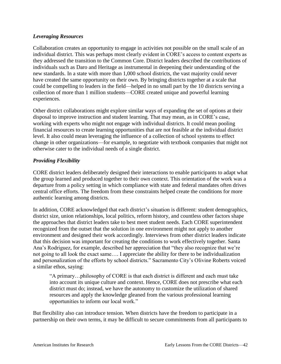#### *Leveraging Resources*

Collaboration creates an opportunity to engage in activities not possible on the small scale of an individual district. This was perhaps most clearly evident in CORE's access to content experts as they addressed the transition to the Common Core. District leaders described the contributions of individuals such as Daro and Heritage as instrumental in deepening their understanding of the new standards. In a state with more than 1,000 school districts, the vast majority could never have created the same opportunity on their own. By bringing districts together at a scale that could be compelling to leaders in the field—helped in no small part by the 10 districts serving a collection of more than 1 million students—CORE created unique and powerful learning experiences.

Other district collaborations might explore similar ways of expanding the set of options at their disposal to improve instruction and student learning. That may mean, as in CORE's case, working with experts who might not engage with individual districts. It could mean pooling financial resources to create learning opportunities that are not feasible at the individual district level. It also could mean leveraging the influence of a collection of school systems to effect change in other organizations—for example, to negotiate with textbook companies that might not otherwise cater to the individual needs of a single district.

#### *Providing Flexibility*

CORE district leaders deliberately designed their interactions to enable participants to adapt what the group learned and produced together to their own context. This orientation of the work was a departure from a policy setting in which compliance with state and federal mandates often drives central office efforts. The freedom from these constraints helped create the conditions for more authentic learning among districts.

In addition, CORE acknowledged that each district's situation is different: student demographics, district size, union relationships, local politics, reform history, and countless other factors shape the approaches that district leaders take to best meet student needs. Each CORE superintendent recognized from the outset that the solution in one environment might not apply to another environment and designed their work accordingly. Interviews from other district leaders indicate that this decision was important for creating the conditions to work effectively together. Santa Ana's Rodriguez, for example, described her appreciation that "they also recognize that we're not going to all look the exact same…. I appreciate the ability for there to be individualization and personalization of the efforts by school districts." Sacramento City's Olivine Roberts voiced a similar ethos, saying:

"A primary…philosophy of CORE is that each district is different and each must take into account its unique culture and context. Hence, CORE does not prescribe what each district must do; instead, we have the autonomy to customize the utilization of shared resources and apply the knowledge gleaned from the various professional learning opportunities to inform our local work."

But flexibility also can introduce tension. When districts have the freedom to participate in a partnership on their own terms, it may be difficult to secure commitments from all participants to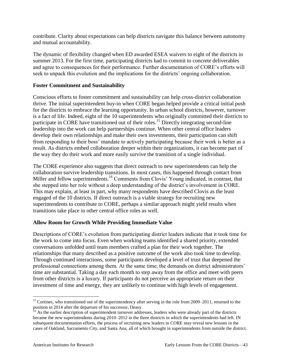contribute. Clarity about expectations can help districts navigate this balance between autonomy and mutual accountability.

The dynamic of flexibility changed when ED awarded ESEA waivers to eight of the districts in summer 2013. For the first time, participating districts had to commit to concrete deliverables and agree to consequences for their performance. Further documentation of CORE's efforts will seek to unpack this evolution and the implications for the districts' ongoing collaboration.

#### **Foster Commitment and Sustainability**

Conscious efforts to foster commitment and sustainability can help cross-district collaboration thrive. The initial superintendent buy-in when CORE began helped provide a critical initial push for the districts to embrace the learning opportunity. In urban school districts, however, turnover is a fact of life. Indeed, eight of the 10 superintendents who originally committed their districts to participate in CORE have transitioned out of their roles.<sup>15</sup> Directly integrating second-line leadership into the work can help partnerships continue. When other central office leaders develop their own relationships and make their own investments, their participation can shift from responding to their boss' mandate to actively participating because their work is better as a result. As districts embed collaboration deeper within their organizations, it can become part of the way they do their work and more easily survive the transition of a single individual.

The CORE experience also suggests that direct outreach to new superintendents can help the collaboration survive leadership transitions. In most cases, this happened through contact from Miller and fellow superintendents.<sup>16</sup> Comments from Clovis' Young indicated, in contrast, that she stepped into her role without a deep understanding of the district's involvement in CORE. This may explain, at least in part, why many respondents have described Clovis as the least engaged of the 10 districts. If direct outreach is a viable strategy for recruiting new superintendents to contribute to CORE, perhaps a similar approach might yield results when transitions take place in other central office roles as well.

#### **Allow Room for Growth While Providing Immediate Value**

Descriptions of CORE's evolution from participating district leaders indicate that it took time for the work to come into focus. Even when working teams identified a shared priority, extended conversations unfolded until team members crafted a plan for their work together. The relationships that many described as a positive outcome of the work also took time to develop. Through continued interactions, some participants developed a level of trust that deepened the professional connections among them. At the same time, the demands on district administrators' time are substantial. Taking a day each month to step away from the office and meet with peers from other districts is a luxury. If participants do not perceive an appropriate return on their investment of time and energy, they are unlikely to continue with high levels of engagement.

 $\overline{a}$ 

<sup>&</sup>lt;sup>15</sup> Cortines, who transitioned out of the superintendency after serving in the role from 2009–2011, returned to the position in 2014 after the departure of his successor, Deasy.

<sup>&</sup>lt;sup>16</sup> As the earlier description of superintendent turnover addresses, leaders who were already part of the districts became the new superintendents during 2010–2012 in the three districts in which the superintendents had left. IN subsequent documentation efforts, the process of recruiting new leaders to CORE may reveal new lessons in the cases of Oakland, Sacramento City, and Santa Ana, all of which brought in superintendents from outside the district.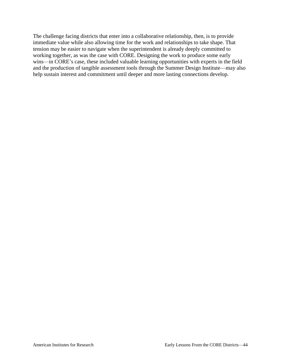The challenge facing districts that enter into a collaborative relationship, then, is to provide immediate value while also allowing time for the work and relationships to take shape. That tension may be easier to navigate when the superintendent is already deeply committed to working together, as was the case with CORE. Designing the work to produce some early wins—in CORE's case, these included valuable learning opportunities with experts in the field and the production of tangible assessment tools through the Summer Design Institute—may also help sustain interest and commitment until deeper and more lasting connections develop.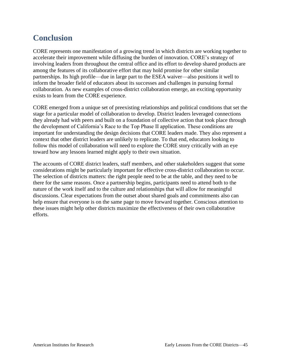## <span id="page-49-0"></span>**Conclusion**

CORE represents one manifestation of a growing trend in which districts are working together to accelerate their improvement while diffusing the burden of innovation. CORE's strategy of involving leaders from throughout the central office and its effort to develop shared products are among the features of its collaborative effort that may hold promise for other similar partnerships. Its high profile—due in large part to the ESEA waiver—also positions it well to inform the broader field of educators about its successes and challenges in pursuing formal collaboration. As new examples of cross-district collaboration emerge, an exciting opportunity exists to learn from the CORE experience.

CORE emerged from a unique set of preexisting relationships and political conditions that set the stage for a particular model of collaboration to develop. District leaders leveraged connections they already had with peers and built on a foundation of collective action that took place through the development of California's Race to the Top Phase II application. These conditions are important for understanding the design decisions that CORE leaders made. They also represent a context that other district leaders are unlikely to replicate. To that end, educators looking to follow this model of collaboration will need to explore the CORE story critically with an eye toward how any lessons learned might apply to their own situation.

The accounts of CORE district leaders, staff members, and other stakeholders suggest that some considerations might be particularly important for effective cross-district collaboration to occur. The selection of districts matters: the right people need to be at the table, and they need to be there for the same reasons. Once a partnership begins, participants need to attend both to the nature of the work itself and to the culture and relationships that will allow for meaningful discussions. Clear expectations from the outset about shared goals and commitments also can help ensure that everyone is on the same page to move forward together. Conscious attention to these issues might help other districts maximize the effectiveness of their own collaborative efforts.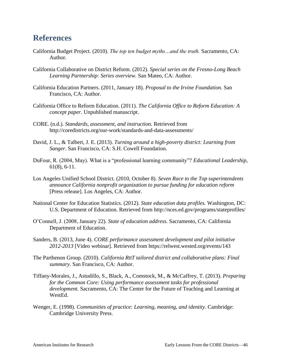## <span id="page-50-0"></span>**References**

- California Budget Project. (2010). *The top ten budget myths…and the truth.* Sacramento, CA: Author.
- California Collaborative on District Reform. (2012). *Special series on the Fresno-Long Beach Learning Partnership: Series overview.* San Mateo, CA: Author.
- California Education Partners. (2011, January 18). *Proposal to the Irvine Foundation.* San Francisco, CA: Author.
- California Office to Reform Education. (2011). *The California Office to Reform Education: A concept paper.* Unpublished manuscript.
- CORE. (n.d.). *Standards, assessment, and instruction.* Retrieved from http://coredistricts.org/our-work/standards-and-data-assessments/
- David, J. L., & Talbert, J. E. (2013). *Turning around a high-poverty district: Learning from Sanger*. San Francisco, CA: S.H. Cowell Foundation.
- DuFour, R. (2004, May). What is a "professional learning community"? *Educational Leadership,*  61(8), 6-11.
- Los Angeles Unified School District. (2010, October 8). *Seven Race to the Top superintendents announce California nonprofit organization to pursue funding for education reform*  [Press release]. Los Angeles, CA: Author.
- National Center for Education Statistics. (2012). *State education data profiles.* Washington, DC: U.S. Department of Education. Retrieved from http://nces.ed.gov/programs/stateprofiles/
- O'Connell, J. (2008, January 22). *State of education address.* Sacramento, CA: California Department of Education.
- Sanders, B. (2013, June 4). *CORE performance assessment development and pilot initiative 2012-2013* [Video webinar]. Retrieved from https://relwest.wested.org/events/143
- The Parthenon Group. (2010). *California RttT tailored district and collaborative plans: Final summary.* San Francisco, CA: Author.
- Tiffany-Morales, J., Astudillo, S., Black, A., Comstock, M., & McCaffrey, T. (2013). *Preparing for the Common Core: Using performance assessment tasks for professional development.* Sacramento, CA: The Center for the Future of Teaching and Learning at WestEd.
- Wenger, E. (1998). *Communities of practice: Learning, meaning, and identity.* Cambridge: Cambridge University Press.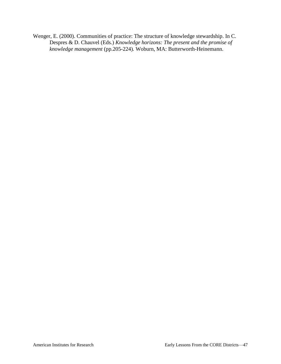Wenger, E. (2000). Communities of practice: The structure of knowledge stewardship. In C. Despres & D. Chauvel (Eds.) *Knowledge horizons: The present and the promise of knowledge management* (pp.205-224)*.* Woburn, MA: Butterworth-Heinemann.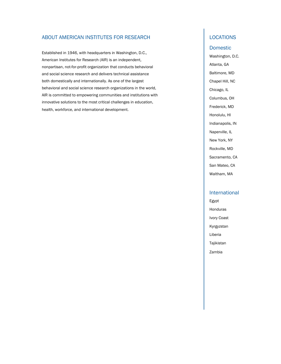#### ABOUT AMERICAN INSTITUTES FOR RESEARCH

Established in 1946, with headquarters in Washington, D.C., American Institutes for Research (AIR) is an independent, nonpartisan, not-for-profit organization that conducts behavioral and social science research and delivers technical assistance both domestically and internationally. As one of the largest behavioral and social science research organizations in the world, AIR is committed to empowering communities and institutions with innovative solutions to the most critical challenges in education, health, workforce, and international development.

#### **LOCATIONS**

#### Domestic

Washington, D.C. Atlanta, GA Baltimore, MD Chapel Hill, NC Chicago, IL Columbus, OH Frederick, MD Honolulu, HI Indianapolis, IN Naperville, IL New York, NY Rockville, MD Sacramento, CA San Mateo, CA Waltham, MA

#### International

Egypt Honduras Ivory Coast Kyrgyzstan Liberia Tajikistan Zambia